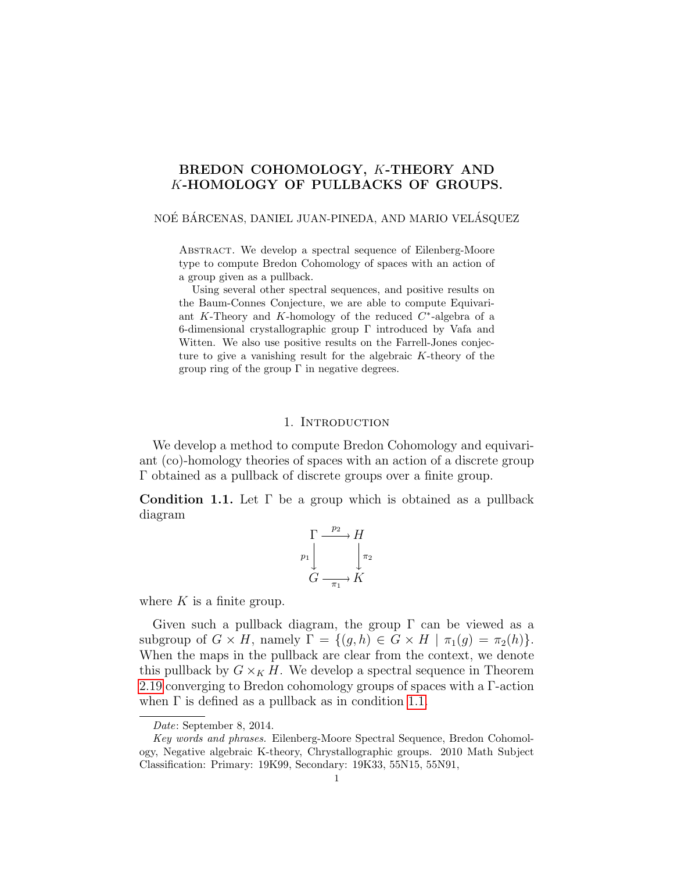# BREDON COHOMOLOGY, K-THEORY AND K-HOMOLOGY OF PULLBACKS OF GROUPS.

# NOÉ BÁRCENAS, DANIEL JUAN-PINEDA, AND MARIO VELÁSQUEZ

Abstract. We develop a spectral sequence of Eilenberg-Moore type to compute Bredon Cohomology of spaces with an action of a group given as a pullback.

Using several other spectral sequences, and positive results on the Baum-Connes Conjecture, we are able to compute Equivariant K-Theory and K-homology of the reduced  $C^*$ -algebra of a 6-dimensional crystallographic group Γ introduced by Vafa and Witten. We also use positive results on the Farrell-Jones conjecture to give a vanishing result for the algebraic K-theory of the group ring of the group  $\Gamma$  in negative degrees.

# 1. INTRODUCTION

<span id="page-0-1"></span>We develop a method to compute Bredon Cohomology and equivariant (co)-homology theories of spaces with an action of a discrete group Γ obtained as a pullback of discrete groups over a finite group.

<span id="page-0-0"></span>**Condition 1.1.** Let  $\Gamma$  be a group which is obtained as a pullback diagram

$$
\Gamma \xrightarrow{p_2} H
$$
\n
$$
p_1 \downarrow \qquad \qquad \downarrow \pi_2
$$
\n
$$
G \xrightarrow{\pi_1} K
$$

where  $K$  is a finite group.

Given such a pullback diagram, the group  $\Gamma$  can be viewed as a subgroup of  $G \times H$ , namely  $\Gamma = \{(g, h) \in G \times H \mid \pi_1(g) = \pi_2(h)\}.$ When the maps in the pullback are clear from the context, we denote this pullback by  $G \times_K H$ . We develop a spectral sequence in Theorem [2.19](#page-10-0) converging to Bredon cohomology groups of spaces with a Γ-action when  $\Gamma$  is defined as a pullback as in condition [1.1.](#page-0-0)

Date: September 8, 2014.

Key words and phrases. Eilenberg-Moore Spectral Sequence, Bredon Cohomology, Negative algebraic K-theory, Chrystallographic groups. 2010 Math Subject Classification: Primary: 19K99, Secondary: 19K33, 55N15, 55N91,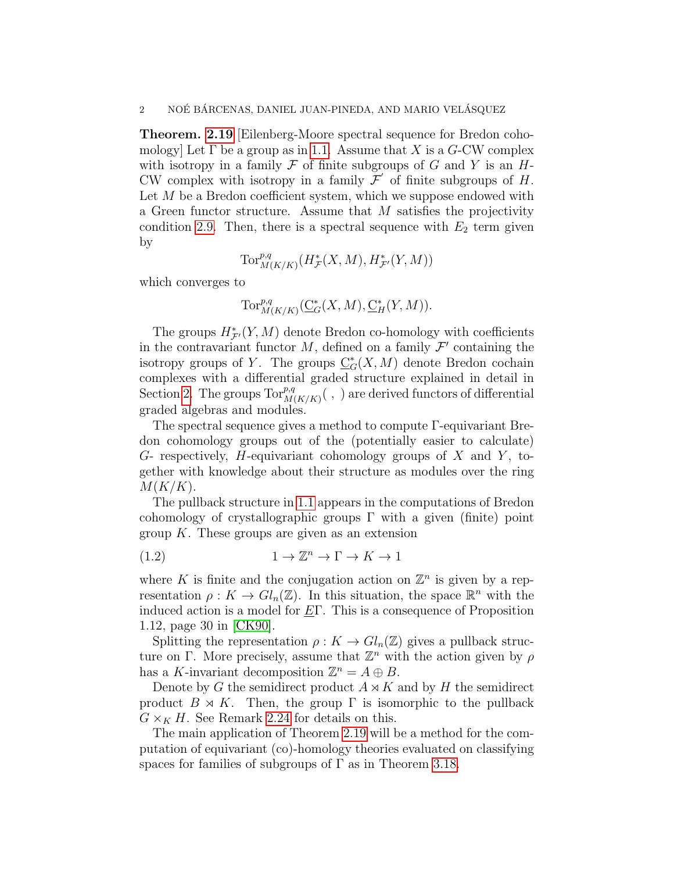Theorem. [2.19](#page-10-0) [Eilenberg-Moore spectral sequence for Bredon cohomology] Let  $\Gamma$  be a group as in [1.1.](#page-0-0) Assume that X is a G-CW complex with isotropy in a family  $\mathcal F$  of finite subgroups of  $G$  and  $Y$  is an  $H$ -CW complex with isotropy in a family  $\mathcal{F}'$  of finite subgroups of H. Let  $M$  be a Bredon coefficient system, which we suppose endowed with a Green functor structure. Assume that  $M$  satisfies the projectivity condition [2.9.](#page-6-0) Then, there is a spectral sequence with  $E_2$  term given by

$$
\operatorname{Tor}^{p,q}_{M(K/K)}(H^*_{\mathcal{F}}(X,M),H^*_{\mathcal{F}'}(Y,M))
$$

which converges to

$$
\operatorname{Tor}^{p,q}_{M(K/K)}(\underline{C}^*_G(X,M),\underline{C}^*_H(Y,M)).
$$

The groups  $H^*_{\mathcal{F}}(Y, M)$  denote Bredon co-homology with coefficients in the contravariant functor  $M$ , defined on a family  $\mathcal{F}'$  containing the isotropy groups of Y. The groups  $\underline{C}_G^*(X, M)$  denote Bredon cochain complexes with a differential graded structure explained in detail in Section [2.](#page-4-0) The groups  $\text{Tor}_{M(K/K)}^{p,q}(\cdot,\cdot)$  are derived functors of differential graded algebras and modules.

The spectral sequence gives a method to compute Γ-equivariant Bredon cohomology groups out of the (potentially easier to calculate)  $G$ - respectively, H-equivariant cohomology groups of  $X$  and  $Y$ , together with knowledge about their structure as modules over the ring  $M(K/K)$ .

The pullback structure in [1.1](#page-0-0) appears in the computations of Bredon cohomology of crystallographic groups  $\Gamma$  with a given (finite) point group  $K$ . These groups are given as an extension

<span id="page-1-0"></span>
$$
(1.2) \t 1 \to \mathbb{Z}^n \to \Gamma \to K \to 1
$$

where K is finite and the conjugation action on  $\mathbb{Z}^n$  is given by a representation  $\rho: K \to Gl_n(\mathbb{Z})$ . In this situation, the space  $\mathbb{R}^n$  with the induced action is a model for  $E\Gamma$ . This is a consequence of Proposition 1.12, page 30 in [\[CK90\]](#page-21-0).

Splitting the representation  $\rho: K \to Gl_n(\mathbb{Z})$  gives a pullback structure on Γ. More precisely, assume that  $\mathbb{Z}^n$  with the action given by  $\rho$ has a K-invariant decomposition  $\mathbb{Z}^n = A \oplus B$ .

Denote by G the semidirect product  $A \rtimes K$  and by H the semidirect product  $B \rtimes K$ . Then, the group  $\Gamma$  is isomorphic to the pullback  $G \times_K H$ . See Remark [2.24](#page-12-0) for details on this.

The main application of Theorem [2.19](#page-10-0) will be a method for the computation of equivariant (co)-homology theories evaluated on classifying spaces for families of subgroups of  $\Gamma$  as in Theorem [3.18.](#page-18-0)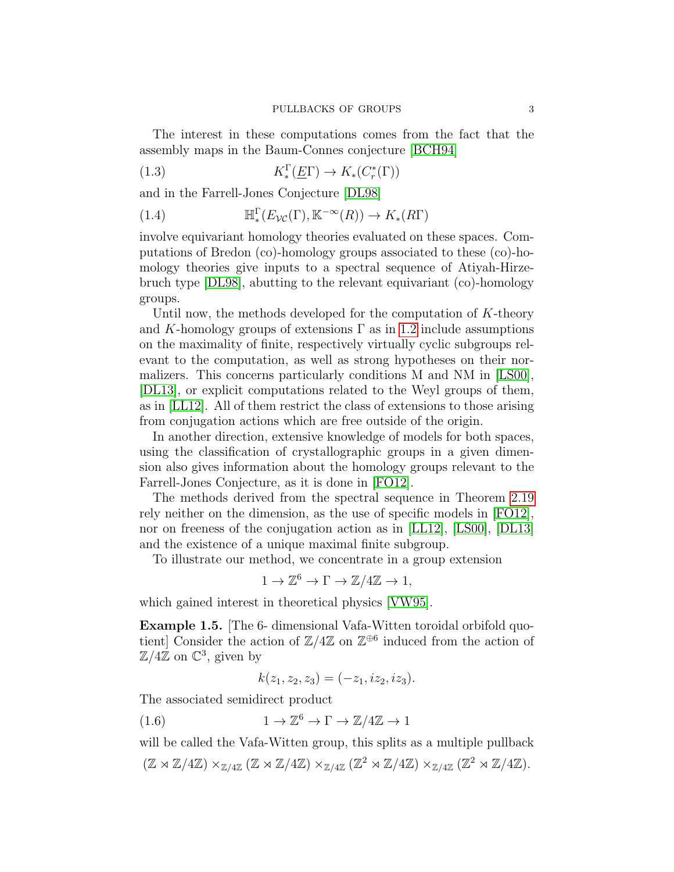The interest in these computations comes from the fact that the assembly maps in the Baum-Connes conjecture [\[BCH94\]](#page-21-1)

(1.3) 
$$
K^{\Gamma}_*(\underline{E}\Gamma) \to K_*(C^*_r(\Gamma))
$$

and in the Farrell-Jones Conjecture [\[DL98\]](#page-21-2)

<span id="page-2-2"></span>(1.4) 
$$
\mathbb{H}_*^{\Gamma}(E_{\mathcal{VC}}(\Gamma), \mathbb{K}^{-\infty}(R)) \to K_*(R\Gamma)
$$

involve equivariant homology theories evaluated on these spaces. Computations of Bredon (co)-homology groups associated to these (co)-homology theories give inputs to a spectral sequence of Atiyah-Hirzebruch type [\[DL98\]](#page-21-2), abutting to the relevant equivariant (co)-homology groups.

Until now, the methods developed for the computation of  $K$ -theory and K-homology groups of extensions  $\Gamma$  as in [1.2](#page-1-0) include assumptions on the maximality of finite, respectively virtually cyclic subgroups relevant to the computation, as well as strong hypotheses on their normalizers. This concerns particularly conditions M and NM in [\[LS00\]](#page-22-0), [\[DL13\]](#page-21-3), or explicit computations related to the Weyl groups of them, as in [\[LL12\]](#page-22-1). All of them restrict the class of extensions to those arising from conjugation actions which are free outside of the origin.

In another direction, extensive knowledge of models for both spaces, using the classification of crystallographic groups in a given dimension also gives information about the homology groups relevant to the Farrell-Jones Conjecture, as it is done in [\[FO12\]](#page-21-4).

The methods derived from the spectral sequence in Theorem [2.19](#page-10-0) rely neither on the dimension, as the use of specific models in [\[FO12\]](#page-21-4), nor on freeness of the conjugation action as in [\[LL12\]](#page-22-1), [\[LS00\]](#page-22-0), [\[DL13\]](#page-21-3) and the existence of a unique maximal finite subgroup.

To illustrate our method, we concentrate in a group extension

$$
1 \to \mathbb{Z}^6 \to \Gamma \to \mathbb{Z}/4\mathbb{Z} \to 1,
$$

which gained interest in theoretical physics [\[VW95\]](#page-22-2).

<span id="page-2-0"></span>Example 1.5. [The 6- dimensional Vafa-Witten toroidal orbifold quotient] Consider the action of  $\mathbb{Z}/4\mathbb{Z}$  on  $\mathbb{Z}^{\oplus 6}$  induced from the action of  $\mathbb{Z}/4\mathbb{Z}$  on  $\mathbb{C}^3$ , given by

<span id="page-2-1"></span>
$$
k(z_1, z_2, z_3) = (-z_1, iz_2, iz_3).
$$

The associated semidirect product

(1.6) 
$$
1 \to \mathbb{Z}^6 \to \Gamma \to \mathbb{Z}/4\mathbb{Z} \to 1
$$

will be called the Vafa-Witten group, this splits as a multiple pullback  $(\mathbb{Z} \rtimes \mathbb{Z}/4\mathbb{Z}) \times_{\mathbb{Z}/4\mathbb{Z}} (\mathbb{Z} \rtimes \mathbb{Z}/4\mathbb{Z}) \times_{\mathbb{Z}/4\mathbb{Z}} (\mathbb{Z}^2 \rtimes \mathbb{Z}/4\mathbb{Z}) \times_{\mathbb{Z}/4\mathbb{Z}} (\mathbb{Z}^2 \rtimes \mathbb{Z}/4\mathbb{Z}).$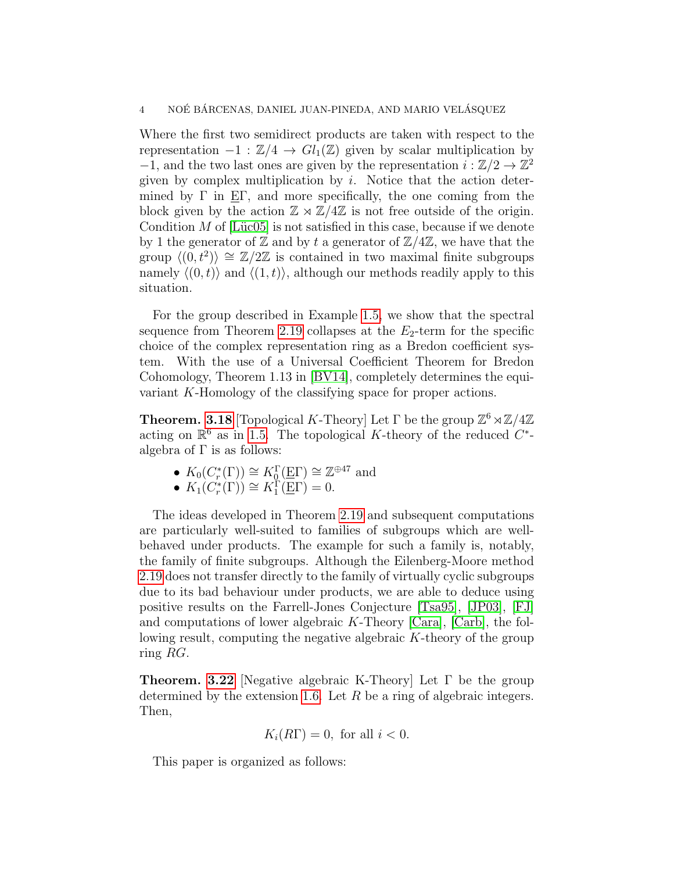Where the first two semidirect products are taken with respect to the representation  $-1 : \mathbb{Z}/4 \to Gl_1(\mathbb{Z})$  given by scalar multiplication by  $-1$ , and the two last ones are given by the representation  $i : \mathbb{Z}/2 \to \mathbb{Z}^2$ given by complex multiplication by  $i$ . Notice that the action determined by  $\Gamma$  in E $\Gamma$ , and more specifically, the one coming from the block given by the action  $\mathbb{Z} \rtimes \mathbb{Z}/4\mathbb{Z}$  is not free outside of the origin. Condition  $M$  of [Lüc05] is not satisfied in this case, because if we denote by 1 the generator of  $\mathbb Z$  and by t a generator of  $\mathbb Z/4\mathbb Z$ , we have that the group  $\langle (0, t^2) \rangle \cong \mathbb{Z}/2\mathbb{Z}$  is contained in two maximal finite subgroups namely  $\langle (0, t) \rangle$  and  $\langle (1, t) \rangle$ , although our methods readily apply to this situation.

For the group described in Example [1.5,](#page-2-0) we show that the spectral sequence from Theorem [2.19](#page-10-0) collapses at the  $E_2$ -term for the specific choice of the complex representation ring as a Bredon coefficient system. With the use of a Universal Coefficient Theorem for Bredon Cohomology, Theorem 1.13 in [\[BV14\]](#page-21-5), completely determines the equivariant K-Homology of the classifying space for proper actions.

**Theorem. [3.18](#page-18-0)** [Topological K-Theory] Let  $\Gamma$  be the group  $\mathbb{Z}^6 \rtimes \mathbb{Z}/4\mathbb{Z}$ acting on  $\mathbb{R}^6$  as in [1.5.](#page-2-0) The topological K-theory of the reduced  $C^*$ algebra of  $\Gamma$  is as follows:

- $K_0(C_r^*(\Gamma)) \cong K_0^{\Gamma}(\underline{E}\Gamma) \cong \mathbb{Z}^{\oplus 47}$  and
- $K_1(C_r^*(\Gamma)) \cong K_1^{\Gamma}(\underline{E}\Gamma) = 0.$

The ideas developed in Theorem [2.19](#page-10-0) and subsequent computations are particularly well-suited to families of subgroups which are wellbehaved under products. The example for such a family is, notably, the family of finite subgroups. Although the Eilenberg-Moore method [2.19](#page-10-0) does not transfer directly to the family of virtually cyclic subgroups due to its bad behaviour under products, we are able to deduce using positive results on the Farrell-Jones Conjecture [\[Tsa95\]](#page-22-4), [\[JP03\]](#page-22-5), [\[FJ\]](#page-21-6) and computations of lower algebraic K-Theory [\[Cara\]](#page-21-7), [\[Carb\]](#page-21-8), the following result, computing the negative algebraic K-theory of the group ring RG.

**Theorem. [3.22](#page-21-9)** [Negative algebraic K-Theory] Let  $\Gamma$  be the group determined by the extension [1.6.](#page-2-1) Let  $R$  be a ring of algebraic integers. Then,

$$
K_i(R\Gamma) = 0, \text{ for all } i < 0.
$$

This paper is organized as follows: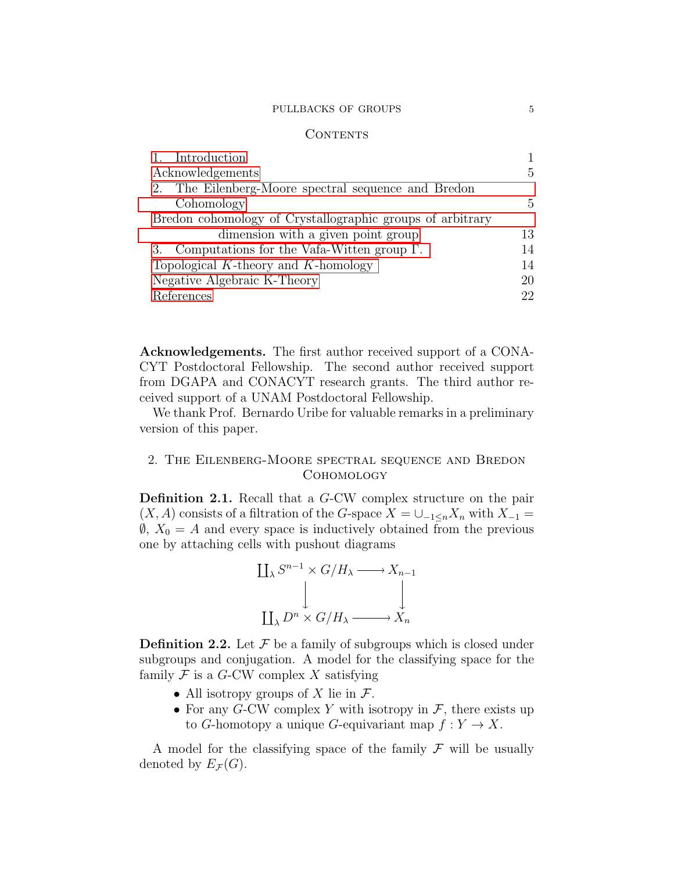### PULLBACKS OF GROUPS  $\hspace{1.5cm}$  5

### CONTENTS

| 1. Introduction                                           |               |
|-----------------------------------------------------------|---------------|
| Acknowledgements                                          | $\frac{5}{2}$ |
| 2. The Eilenberg-Moore spectral sequence and Bredon       |               |
| Cohomology                                                | $\frac{5}{2}$ |
| Bredon cohomology of Crystallographic groups of arbitrary |               |
| dimension with a given point group                        | 13            |
| 3. Computations for the Vafa-Witten group $\Gamma$ .      | 14            |
| Topological $K$ -theory and $K$ -homology                 | 14            |
| Negative Algebraic K-Theory                               | 20            |
| References                                                | 22            |

<span id="page-4-1"></span>Acknowledgements. The first author received support of a CONA-CYT Postdoctoral Fellowship. The second author received support from DGAPA and CONACYT research grants. The third author received support of a UNAM Postdoctoral Fellowship.

We thank Prof. Bernardo Uribe for valuable remarks in a preliminary version of this paper.

# <span id="page-4-0"></span>2. The Eilenberg-Moore spectral sequence and Bredon Cohomology

Definition 2.1. Recall that a G-CW complex structure on the pair  $(X, A)$  consists of a filtration of the G-space  $X = \bigcup_{-1 \leq n} X_n$  with  $X_{-1} =$  $\emptyset$ ,  $X_0 = A$  and every space is inductively obtained from the previous one by attaching cells with pushout diagrams



**Definition 2.2.** Let  $\mathcal F$  be a family of subgroups which is closed under subgroups and conjugation. A model for the classifying space for the family  $\mathcal F$  is a G-CW complex X satisfying

- All isotropy groups of X lie in  $\mathcal{F}$ .
- For any G-CW complex Y with isotropy in  $\mathcal{F}$ , there exists up to G-homotopy a unique G-equivariant map  $f: Y \to X$ .

A model for the classifying space of the family  $\mathcal F$  will be usually denoted by  $E_{\mathcal{F}}(G)$ .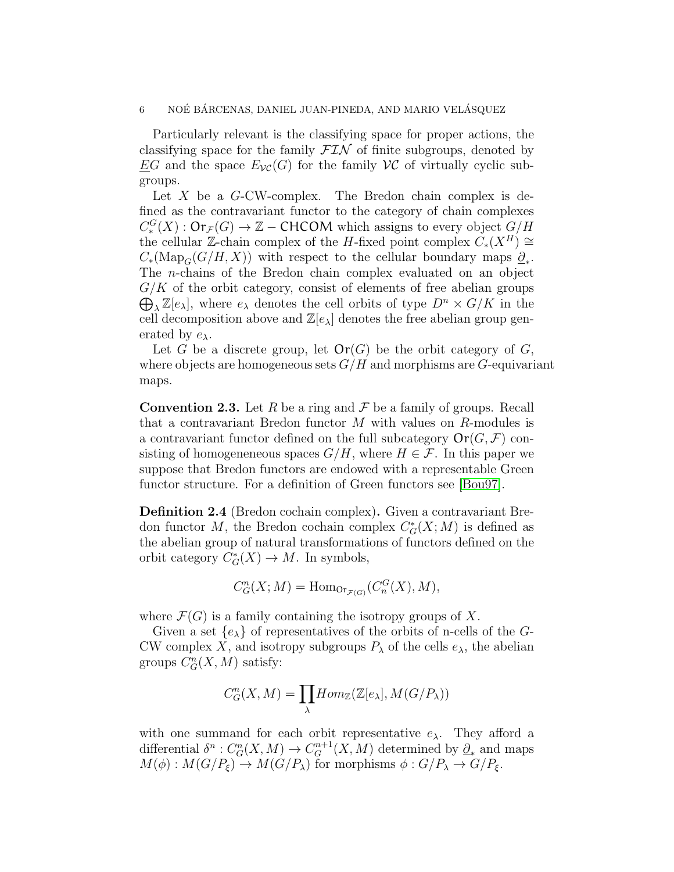Particularly relevant is the classifying space for proper actions, the classifying space for the family  $\mathcal{FIN}$  of finite subgroups, denoted by EG and the space  $E_{\mathcal{V}\mathcal{C}}(G)$  for the family  $\mathcal{V}\mathcal{C}$  of virtually cyclic subgroups.

Let  $X$  be a  $G$ -CW-complex. The Bredon chain complex is defined as the contravariant functor to the category of chain complexes  $C_*^G(X) : \mathsf{Or}_{\mathcal{F}}(G) \to \mathbb{Z}$  – CHCOM which assigns to every object  $G/H$ the cellular Z-chain complex of the H-fixed point complex  $C_*(X^H) \cong$  $C_*(\text{Map}_G(G/H, X))$  with respect to the cellular boundary maps  $\underline{\partial}_*$ . The n-chains of the Bredon chain complex evaluated on an object  $\bigoplus_{\lambda} \mathbb{Z}[e_{\lambda}]$ , where  $e_{\lambda}$  denotes the cell orbits of type  $D^n \times G/K$  in the  $G/K$  of the orbit category, consist of elements of free abelian groups cell decomposition above and  $\mathbb{Z}[e_{\lambda}]$  denotes the free abelian group generated by  $e_{\lambda}$ .

Let G be a discrete group, let  $\text{Or}(G)$  be the orbit category of G, where objects are homogeneous sets  $G/H$  and morphisms are G-equivariant maps.

**Convention 2.3.** Let R be a ring and F be a family of groups. Recall that a contravariant Bredon functor M with values on R-modules is a contravariant functor defined on the full subcategory  $\mathsf{Or}(G,\mathcal{F})$  consisting of homogeneneous spaces  $G/H$ , where  $H \in \mathcal{F}$ . In this paper we suppose that Bredon functors are endowed with a representable Green functor structure. For a definition of Green functors see [\[Bou97\]](#page-21-11).

Definition 2.4 (Bredon cochain complex). Given a contravariant Bredon functor M, the Bredon cochain complex  $C^*_G(X; M)$  is defined as the abelian group of natural transformations of functors defined on the orbit category  $C_G^*(X) \to M$ . In symbols,

$$
C_G^n(X;M) = \text{Hom}_{\text{Or}_{\mathcal{F}(G)}}(C_n^G(X),M),
$$

where  $\mathcal{F}(G)$  is a family containing the isotropy groups of X.

Given a set  $\{e_{\lambda}\}\$  of representatives of the orbits of n-cells of the G-CW complex X, and isotropy subgroups  $P_{\lambda}$  of the cells  $e_{\lambda}$ , the abelian groups  $C_G^n(X, M)$  satisfy:

$$
C_G^n(X, M) = \prod_{\lambda} Hom_{\mathbb{Z}}(\mathbb{Z}[e_{\lambda}], M(G/P_{\lambda}))
$$

with one summand for each orbit representative  $e_{\lambda}$ . They afford a differential  $\delta^n: C_G^n(X, M) \to C_G^{n+1}(X, M)$  determined by  $\underline{\partial}_*$  and maps  $M(\phi) : M(G/P_{\xi}) \to M(G/P_{\lambda})$  for morphisms  $\phi : G/P_{\lambda} \to G/P_{\xi}$ .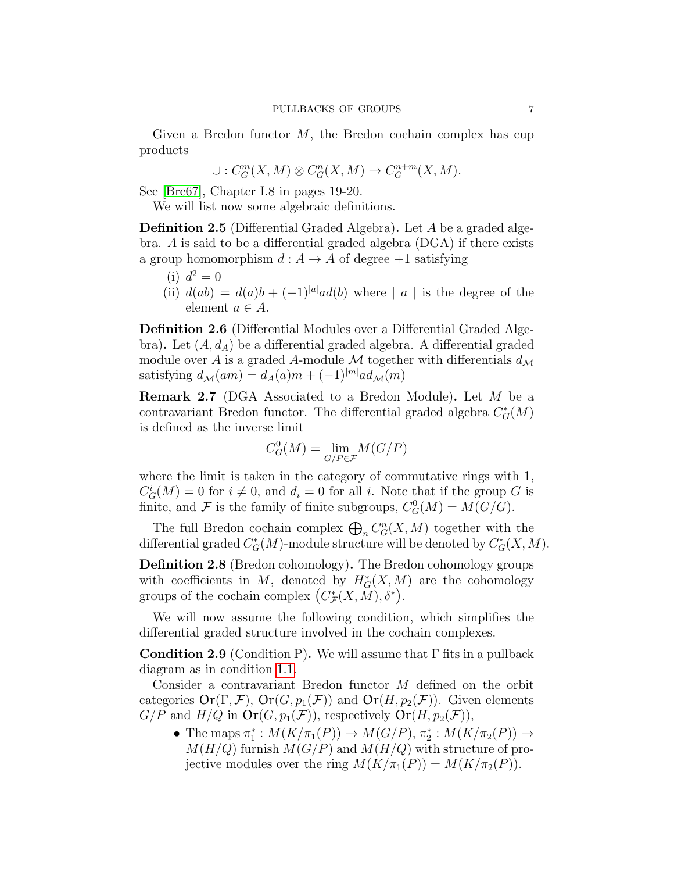Given a Bredon functor  $M$ , the Bredon cochain complex has cup products

$$
\cup:C^m_G(X,M)\otimes C^n_G(X,M)\to C^{n+m}_G(X,M).
$$

See [\[Bre67\]](#page-21-12), Chapter I.8 in pages 19-20.

We will list now some algebraic definitions.

Definition 2.5 (Differential Graded Algebra). Let A be a graded algebra. A is said to be a differential graded algebra (DGA) if there exists a group homomorphism  $d: A \to A$  of degree  $+1$  satisfying

- (i)  $d^2 = 0$
- (ii)  $d(ab) = d(a)b + (-1)^{|a|}ad(b)$  where | a | is the degree of the element  $a \in A$ .

Definition 2.6 (Differential Modules over a Differential Graded Algebra). Let  $(A, d<sub>A</sub>)$  be a differential graded algebra. A differential graded module over A is a graded A-module M together with differentials  $d_{\mathcal{M}}$ satisfying  $d_{\mathcal{M}}(am) = d_{A}(a)m + (-1)^{|m|} ad_{\mathcal{M}}(m)$ 

Remark 2.7 (DGA Associated to a Bredon Module). Let M be a contravariant Bredon functor. The differential graded algebra  $C^*_G(M)$ is defined as the inverse limit

$$
C^0_G(M)=\lim_{G/P\in\mathcal{F}}M(G/P)
$$

where the limit is taken in the category of commutative rings with 1,  $C_G^i(M) = 0$  for  $i \neq 0$ , and  $d_i = 0$  for all i. Note that if the group G is finite, and  $\mathcal F$  is the family of finite subgroups,  $C_G^0(M) = M(G/G)$ .

The full Bredon cochain complex  $\bigoplus_n C^n_G(X, M)$  together with the differential graded  $C^*_G(M)$ -module structure will be denoted by  $C^*_G(X, M)$ .

Definition 2.8 (Bredon cohomology). The Bredon cohomology groups with coefficients in M, denoted by  $H^*_G(X, M)$  are the cohomology groups of the cochain complex  $(C^*_{\mathcal{F}}(X, M), \delta^*)$ .

We will now assume the following condition, which simplifies the differential graded structure involved in the cochain complexes.

<span id="page-6-0"></span>**Condition 2.9** (Condition P). We will assume that  $\Gamma$  fits in a pullback diagram as in condition [1.1.](#page-0-0)

Consider a contravariant Bredon functor M defined on the orbit categories  $\text{Or}(\Gamma, \mathcal{F})$ ,  $\text{Or}(G, p_1(\mathcal{F}))$  and  $\text{Or}(H, p_2(\mathcal{F}))$ . Given elements  $G/P$  and  $H/Q$  in  $\text{Or}(G, p_1(\mathcal{F}))$ , respectively  $\text{Or}(H, p_2(\mathcal{F}))$ ,

• The maps  $\pi_1^*: M(K/\pi_1(P)) \to M(G/P), \pi_2^*: M(K/\pi_2(P)) \to$  $M(H/Q)$  furnish  $M(G/P)$  and  $M(H/Q)$  with structure of projective modules over the ring  $M(K/\pi_1(P)) = M(K/\pi_2(P)).$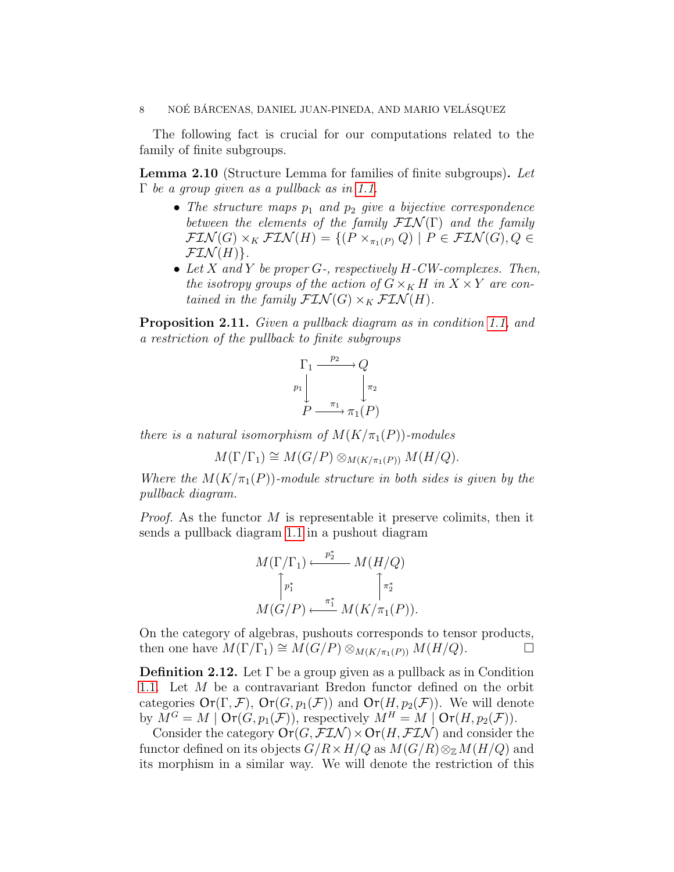The following fact is crucial for our computations related to the family of finite subgroups.

<span id="page-7-1"></span>Lemma 2.10 (Structure Lemma for families of finite subgroups). Let  $\Gamma$  be a group given as a pullback as in [1.1.](#page-0-0)

- The structure maps  $p_1$  and  $p_2$  give a bijective correspondence between the elements of the family  $\mathcal{FIN}(\Gamma)$  and the family  $\mathcal{FIN}(G) \times_K \mathcal{FIN}(H) = \{ (P \times_{\pi_1(P)} Q) \mid P \in \mathcal{FIN}(G), Q \in$  $\mathcal{FIN}(H)$ .
- Let  $X$  and  $Y$  be proper  $G$ -, respectively  $H$ -CW-complexes. Then, the isotropy groups of the action of  $G\times_K H$  in  $X\times Y$  are contained in the family  $\mathcal{FIN}(G) \times_K \mathcal{FIN}(H)$ .

<span id="page-7-0"></span>Proposition 2.11. Given a pullback diagram as in condition [1.1,](#page-0-0) and a restriction of the pullback to finite subgroups

$$
\Gamma_1 \xrightarrow{p_2} Q
$$
\n
$$
p_1 \downarrow \qquad \qquad \downarrow \pi_2
$$
\n
$$
P \xrightarrow{\pi_1} \pi_1(P)
$$

there is a natural isomorphism of  $M(K/\pi_1(P))$ -modules

$$
M(\Gamma/\Gamma_1) \cong M(G/P) \otimes_{M(K/\pi_1(P))} M(H/Q).
$$

Where the  $M(K/\pi_1(P))$ -module structure in both sides is given by the pullback diagram.

*Proof.* As the functor  $M$  is representable it preserve colimits, then it sends a pullback diagram [1.1](#page-0-0) in a pushout diagram

$$
M(\Gamma/\Gamma_1) \xleftarrow{p_2^*} M(H/Q)
$$

$$
\uparrow_{\pi_1^*} \qquad \qquad \uparrow_{\pi_2^*}
$$

$$
M(G/P) \xleftarrow{\pi_1^*} M(K/\pi_1(P)).
$$

On the category of algebras, pushouts corresponds to tensor products, then one have  $M(\Gamma/\Gamma_1) \cong M(G/P) \otimes_{M(K/\pi_1(P))} M(H/Q)$ .  $\Box$ 

**Definition 2.12.** Let  $\Gamma$  be a group given as a pullback as in Condition [1.1.](#page-0-0) Let M be a contravariant Bredon functor defined on the orbit categories  $\text{Or}(\Gamma, \mathcal{F})$ ,  $\text{Or}(G, p_1(\mathcal{F}))$  and  $\text{Or}(H, p_2(\mathcal{F}))$ . We will denote by  $M^G = M \mid \text{Or}(G, p_1(\mathcal{F}))$ , respectively  $M^H = M \mid \text{Or}(H, p_2(\mathcal{F}))$ .

Consider the category  $\text{Or}(G, \mathcal{FIN}) \times \text{Or}(H, \mathcal{FIN})$  and consider the functor defined on its objects  $G/R \times H/Q$  as  $M(G/R) \otimes_{\mathbb{Z}} M(H/Q)$  and its morphism in a similar way. We will denote the restriction of this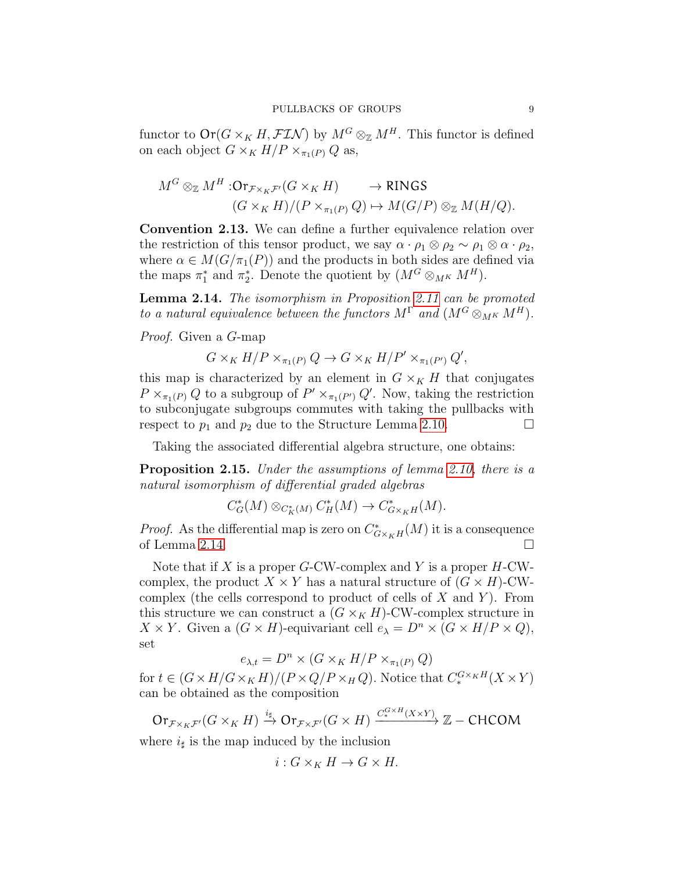functor to  $\text{Or}(G \times_K H, \mathcal{FIN})$  by  $M^G \otimes_{\mathbb{Z}} M^H$ . This functor is defined on each object  $G \times_K H/P \times_{\pi_1(P)} Q$  as,

$$
M^G \otimes_{\mathbb{Z}} M^H : \text{Or}_{\mathcal{F} \times_K \mathcal{F}'}(G \times_K H) \longrightarrow \text{RINGS}
$$
  

$$
(G \times_K H)/(P \times_{\pi_1(P)} Q) \mapsto M(G/P) \otimes_{\mathbb{Z}} M(H/Q).
$$

Convention 2.13. We can define a further equivalence relation over the restriction of this tensor product, we say  $\alpha \cdot \rho_1 \otimes \rho_2 \sim \rho_1 \otimes \alpha \cdot \rho_2$ , where  $\alpha \in M(G/\pi_1(P))$  and the products in both sides are defined via the maps  $\pi_1^*$  and  $\pi_2^*$ . Denote the quotient by  $(M^G \otimes_{M^K} M^H)$ .

<span id="page-8-0"></span>Lemma 2.14. The isomorphism in Proposition [2.11](#page-7-0) can be promoted to a natural equivalence between the functors  $M^{\Gamma}$  and  $(M^G \otimes_{M^K} M^H)$ .

Proof. Given a G-map

$$
G \times_K H/P \times_{\pi_1(P)} Q \to G \times_K H/P' \times_{\pi_1(P')} Q',
$$

this map is characterized by an element in  $G \times_K H$  that conjugates  $P \times_{\pi_1(P)} Q$  to a subgroup of  $P' \times_{\pi_1(P')} Q'$ . Now, taking the restriction to subconjugate subgroups commutes with taking the pullbacks with respect to  $p_1$  and  $p_2$  due to the Structure Lemma [2.10.](#page-7-1)

Taking the associated differential algebra structure, one obtains:

<span id="page-8-1"></span>Proposition 2.15. Under the assumptions of lemma [2.10,](#page-7-1) there is a natural isomorphism of differential graded algebras

$$
C^*_{G}(M)\otimes_{C^*_K(M)} C^*_H(M)\to C^*_{G\times_K H}(M).
$$

*Proof.* As the differential map is zero on  $C^*_{G\times_K H}(M)$  it is a consequence of Lemma [2.14.](#page-8-0)

Note that if X is a proper  $G$ -CW-complex and Y is a proper  $H$ -CWcomplex, the product  $X \times Y$  has a natural structure of  $(G \times H)$ -CWcomplex (the cells correspond to product of cells of  $X$  and  $Y$ ). From this structure we can construct a  $(G \times_K H)$ -CW-complex structure in  $X \times Y$ . Given a  $(G \times H)$ -equivariant cell  $e_{\lambda} = D^n \times (G \times H/P \times Q)$ , set

$$
e_{\lambda,t} = D^n \times (G \times_K H/P \times_{\pi_1(P)} Q)
$$

for  $t \in (G \times H/G \times_K H)/(P \times Q/P \times_H Q)$ . Notice that  $C^{G \times_K H}_*(X \times Y)$ can be obtained as the composition

 $\mathrm{Or}_{\mathcal{F} \times_K \mathcal{F}'}(G \times_K H) \xrightarrow{i_{\sharp}} \mathrm{Or}_{\mathcal{F} \times \mathcal{F}'}(G \times H) \xrightarrow{C_{\ast}^{G \times H}(X \times Y)} \mathbb{Z}-\text{CHCOM}$ 

where  $i_{\sharp}$  is the map induced by the inclusion

$$
i: G \times_K H \to G \times H.
$$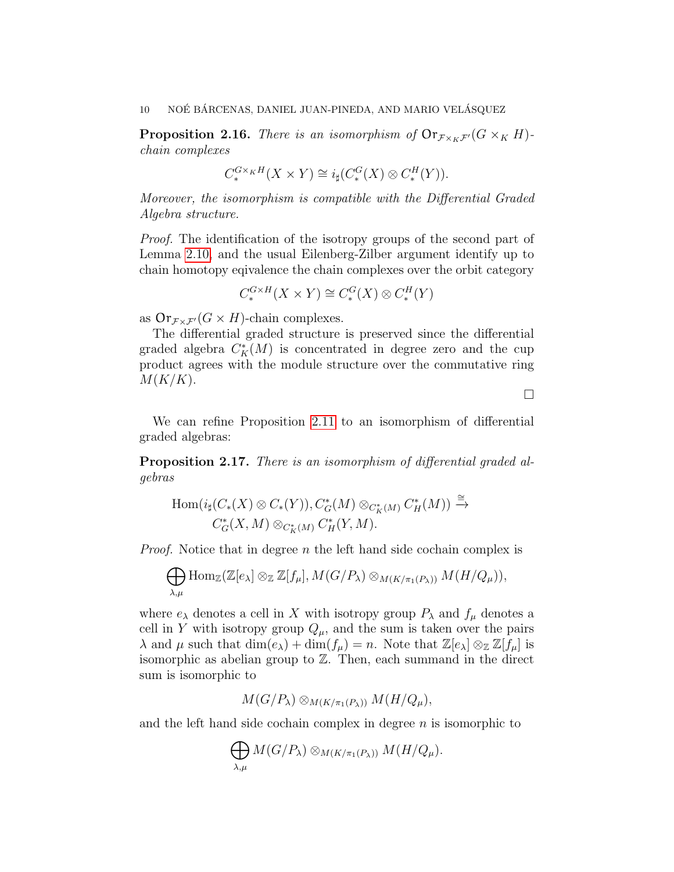<span id="page-9-0"></span>**Proposition 2.16.** There is an isomorphism of  $\text{Or}_{\mathcal{F}\times_K\mathcal{F}'}(G\times_K H)$ chain complexes

$$
C^{G\times_KH}_*(X\times Y)\cong i_\sharp(C^G_*(X)\otimes C^H_*(Y)).
$$

Moreover, the isomorphism is compatible with the Differential Graded Algebra structure.

Proof. The identification of the isotropy groups of the second part of Lemma [2.10,](#page-7-1) and the usual Eilenberg-Zilber argument identify up to chain homotopy eqivalence the chain complexes over the orbit category

$$
C_*^{G \times H}(X \times Y) \cong C_*^G(X) \otimes C_*^H(Y)
$$

as  $\text{Or}_{\mathcal{F}\times\mathcal{F}'}(G\times H)$ -chain complexes.

The differential graded structure is preserved since the differential graded algebra  $C_K^*(M)$  is concentrated in degree zero and the cup product agrees with the module structure over the commutative ring  $M(K/K)$ .

 $\Box$ 

We can refine Proposition [2.11](#page-7-0) to an isomorphism of differential graded algebras:

<span id="page-9-1"></span>Proposition 2.17. There is an isomorphism of differential graded algebras

$$
\text{Hom}(i_{\sharp}(C_{*}(X)\otimes C_{*}(Y)), C_{G}^{*}(M)\otimes_{C_{K}^{*}(M)} C_{H}^{*}(M)) \xrightarrow{\cong}
$$
  

$$
C_{G}^{*}(X, M)\otimes_{C_{K}^{*}(M)} C_{H}^{*}(Y, M).
$$

*Proof.* Notice that in degree n the left hand side cochain complex is

$$
\bigoplus_{\lambda,\mu} \text{Hom}_{\mathbb{Z}}(\mathbb{Z}[e_{\lambda}] \otimes_{\mathbb{Z}} \mathbb{Z}[f_{\mu}], M(G/P_{\lambda}) \otimes_{M(K/\pi_1(P_{\lambda}))} M(H/Q_{\mu})),
$$

where  $e_{\lambda}$  denotes a cell in X with isotropy group  $P_{\lambda}$  and  $f_{\mu}$  denotes a cell in Y with isotropy group  $Q_{\mu}$ , and the sum is taken over the pairs  $\lambda$  and  $\mu$  such that  $\dim(e_{\lambda}) + \dim(f_{\mu}) = n$ . Note that  $\mathbb{Z}[e_{\lambda}] \otimes_{\mathbb{Z}} \mathbb{Z}[f_{\mu}]$  is isomorphic as abelian group to Z. Then, each summand in the direct sum is isomorphic to

$$
M(G/P_\lambda) \otimes_{M(K/\pi_1(P_\lambda))} M(H/Q_\mu),
$$

and the left hand side cochain complex in degree  $n$  is isomorphic to

$$
\bigoplus_{\lambda,\mu} M(G/P_{\lambda}) \otimes_{M(K/\pi_1(P_{\lambda}))} M(H/Q_{\mu}).
$$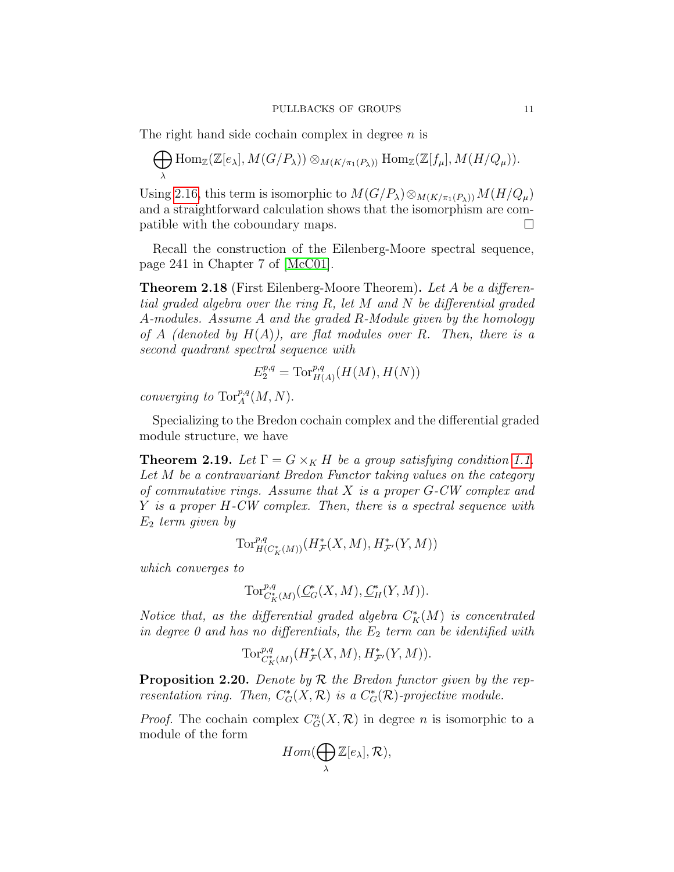The right hand side cochain complex in degree  $n$  is

$$
\bigoplus_{\lambda} \text{Hom}_{\mathbb{Z}}(\mathbb{Z}[e_{\lambda}], M(G/P_{\lambda})) \otimes_{M(K/\pi_1(P_{\lambda}))} \text{Hom}_{\mathbb{Z}}(\mathbb{Z}[f_{\mu}], M(H/Q_{\mu})).
$$

Using [2.16,](#page-9-0) this term is isomorphic to  $M(G/P_\lambda) \otimes_{M(K/\pi_1(P_\lambda))} M(H/Q_\mu)$ and a straightforward calculation shows that the isomorphism are compatible with the coboundary maps.

Recall the construction of the Eilenberg-Moore spectral sequence, page 241 in Chapter 7 of [\[McC01\]](#page-22-6).

Theorem 2.18 (First Eilenberg-Moore Theorem). Let A be a differential graded algebra over the ring R, let M and N be differential graded A-modules. Assume A and the graded R-Module given by the homology of A (denoted by  $H(A)$ ), are flat modules over R. Then, there is a second quadrant spectral sequence with

$$
E_2^{p,q} = \operatorname{Tor}_{H(A)}^{p,q}(H(M), H(N))
$$

converging to  $\operatorname{Tor}^{p,q}_A(M,N).$ 

Specializing to the Bredon cochain complex and the differential graded module structure, we have

<span id="page-10-0"></span>**Theorem 2.19.** Let  $\Gamma = G \times_K H$  be a group satisfying condition [1.1.](#page-0-0) Let M be a contravariant Bredon Functor taking values on the category of commutative rings. Assume that X is a proper G-CW complex and Y is a proper H-CW complex. Then, there is a spectral sequence with  $E_2$  term given by

$$
\operatorname{Tor}_{H(C^*_K(M))}^{p,q}(H^*_{\mathcal{F}}(X,M),H^*_{\mathcal{F}'}(Y,M))
$$

which converges to

$$
\operatorname{Tor}_{C^*_K(M)}^{\mathcal{p},q}(\underline{C}^*_G(X,M),\underline{C}^*_H(Y,M)).
$$

Notice that, as the differential graded algebra  $C_K^*(M)$  is concentrated in degree 0 and has no differentials, the  $E_2$  term can be identified with

$$
\operatorname{Tor}_{C^*_K(M)}^{p,q}(H^*_\mathcal{F}(X,M),H^*_{\mathcal{F}'}(Y,M)).
$$

**Proposition 2.20.** Denote by  $\mathcal R$  the Bredon functor given by the representation ring. Then,  $C^*_G(X,\mathcal{R})$  is a  $C^*_G(\mathcal{R})$ -projective module.

*Proof.* The cochain complex  $C_G^n(X, \mathcal{R})$  in degree *n* is isomorphic to a module of the form

$$
Hom(\bigoplus_{\lambda} \mathbb{Z}[e_{\lambda}], \mathcal{R}),
$$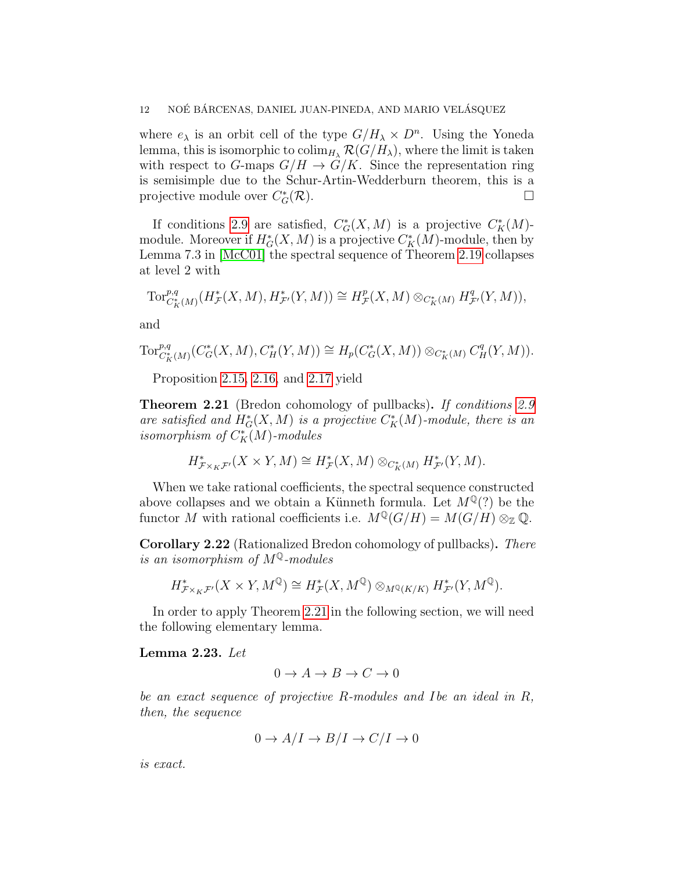where  $e_{\lambda}$  is an orbit cell of the type  $G/H_{\lambda} \times D^{n}$ . Using the Yoneda lemma, this is isomorphic to  $\text{colim}_{H_\lambda} \mathcal{R}(G/H_\lambda)$ , where the limit is taken with respect to G-maps  $G/H \to G/K$ . Since the representation ring is semisimple due to the Schur-Artin-Wedderburn theorem, this is a projective module over  $C_G^*$  $G^*(\mathcal{R})$ .

If conditions [2.9](#page-6-0) are satisfied,  $C^*_G(X, M)$  is a projective  $C^*_K(M)$ module. Moreover if  $H^*_{G}(X, M)$  is a projective  $C^*_{K}(M)$ -module, then by Lemma 7.3 in [\[McC01\]](#page-22-6) the spectral sequence of Theorem [2.19](#page-10-0) collapses at level 2 with

$$
\text{Tor}_{C^*_K(M)}^{p,q}(H^*_{\mathcal{F}}(X,M),H^*_{\mathcal{F}'}(Y,M))\cong H^p_{\mathcal{F}}(X,M)\otimes_{C^*_K(M)}H^q_{\mathcal{F}'}(Y,M)),
$$

and

$$
\text{Tor}_{C_K^*(M)}^{p,q}(C^*_G(X,M), C^*_H(Y,M)) \cong H_p(C^*_G(X,M)) \otimes_{C^*_K(M)} C^q_H(Y,M)).
$$

Proposition [2.15,](#page-8-1) [2.16,](#page-9-0) and [2.17](#page-9-1) yield

<span id="page-11-0"></span>Theorem 2.21 (Bredon cohomology of pullbacks). If conditions [2.9](#page-6-0) are satisfied and  $H^*_G(X, M)$  is a projective  $C^*_K(M)$ -module, there is an isomorphism of  $C_K^*(M)$ -modules

$$
H^*_{\mathcal{F}\times_K\mathcal{F}'}(X\times Y, M)\cong H^*_{\mathcal{F}}(X, M)\otimes_{C^*_K(M)} H^*_{\mathcal{F}'}(Y, M).
$$

When we take rational coefficients, the spectral sequence constructed above collapses and we obtain a Künneth formula. Let  $M^{\mathbb{Q}}(?)$  be the functor M with rational coefficients i.e.  $M^{\mathbb{Q}}(G/H) = M(G/H) \otimes_{\mathbb{Z}} \mathbb{Q}$ .

Corollary 2.22 (Rationalized Bredon cohomology of pullbacks). There is an isomorphism of  $M^{\mathbb{Q}}$ -modules

$$
H^*_{\mathcal{F} \times_K \mathcal{F}'}(X \times Y, M^{\mathbb{Q}}) \cong H^*_{\mathcal{F}}(X, M^{\mathbb{Q}}) \otimes_{M^{\mathbb{Q}}(K/K)} H^*_{\mathcal{F}'}(Y, M^{\mathbb{Q}}).
$$

In order to apply Theorem [2.21](#page-11-0) in the following section, we will need the following elementary lemma.

# <span id="page-11-1"></span>Lemma 2.23. Let

$$
0 \to A \to B \to C \to 0
$$

be an exact sequence of projective R-modules and Ibe an ideal in R, then, the sequence

$$
0 \to A/I \to B/I \to C/I \to 0
$$

is exact.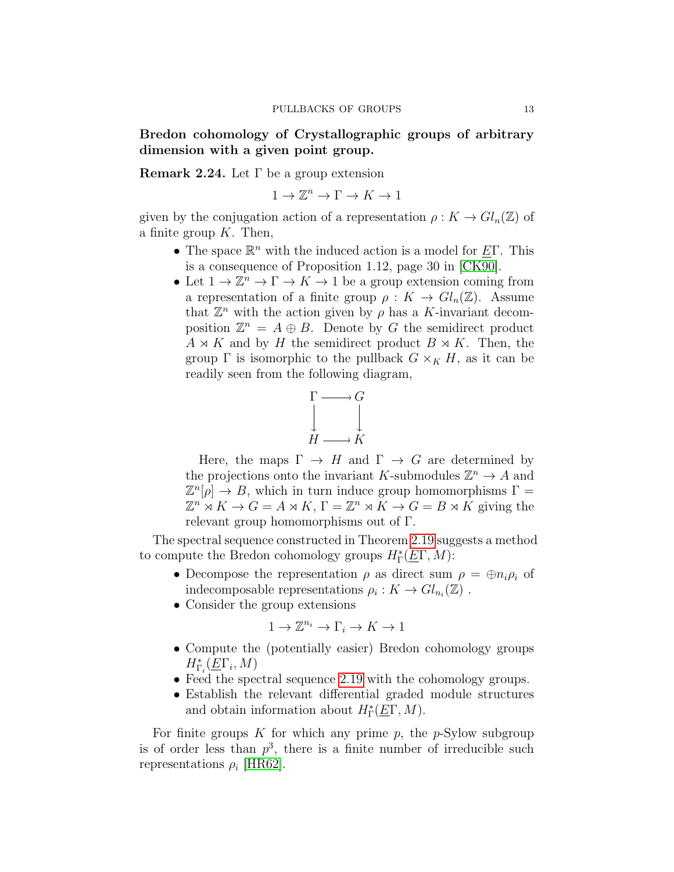<span id="page-12-1"></span>Bredon cohomology of Crystallographic groups of arbitrary dimension with a given point group.

<span id="page-12-0"></span>Remark 2.24. Let  $\Gamma$  be a group extension

 $1 \to \mathbb{Z}^n \to \Gamma \to K \to 1$ 

given by the conjugation action of a representation  $\rho: K \to Gl_n(\mathbb{Z})$  of a finite group  $K$ . Then,

- The space  $\mathbb{R}^n$  with the induced action is a model for  $\underline{E}\Gamma$ . This is a consequence of Proposition 1.12, page 30 in [\[CK90\]](#page-21-0).
- Let  $1 \to \mathbb{Z}^n \to \Gamma \to K \to 1$  be a group extension coming from a representation of a finite group  $\rho: K \to Gl_n(\mathbb{Z})$ . Assume that  $\mathbb{Z}^n$  with the action given by  $\rho$  has a K-invariant decomposition  $\mathbb{Z}^n = A \oplus B$ . Denote by G the semidirect product  $A \rtimes K$  and by H the semidirect product  $B \rtimes K$ . Then, the group  $\Gamma$  is isomorphic to the pullback  $G \times_K H$ , as it can be readily seen from the following diagram,

$$
\Gamma \longrightarrow G
$$
  

$$
\downarrow \qquad \qquad \downarrow
$$
  

$$
H \longrightarrow K
$$

Here, the maps  $\Gamma \rightarrow H$  and  $\Gamma \rightarrow G$  are determined by the projections onto the invariant K-submodules  $\mathbb{Z}^n \to A$  and  $\mathbb{Z}^n[\rho] \to B$ , which in turn induce group homomorphisms  $\Gamma =$  $\mathbb{Z}^n \rtimes K \to G = A \rtimes K, \Gamma = \mathbb{Z}^n \rtimes \tilde{K} \to G = B \rtimes \tilde{K}$  giving the relevant group homomorphisms out of Γ.

The spectral sequence constructed in Theorem [2.19](#page-10-0) suggests a method to compute the Bredon cohomology groups  $H^*_\Gamma(\underline{E}\Gamma,M)$ :

- Decompose the representation  $\rho$  as direct sum  $\rho = \bigoplus n_i \rho_i$  of indecomposable representations  $\rho_i: K \to Gl_{n_i}(\mathbb{Z})$ .
- Consider the group extensions

$$
1 \to \mathbb{Z}^{n_i} \to \Gamma_i \to K \to 1
$$

- Compute the (potentially easier) Bredon cohomology groups  $H_{\Gamma_i}^*(\underline{E}\Gamma_i, M)$
- Feed the spectral sequence [2.19](#page-10-0) with the cohomology groups.
- Establish the relevant differential graded module structures and obtain information about  $H^*_{\Gamma}(\underline{E}\Gamma, M)$ .

For finite groups K for which any prime p, the p-Sylow subgroup is of order less than  $p^3$ , there is a finite number of irreducible such representations  $\rho_i$  [\[HR62\]](#page-22-7).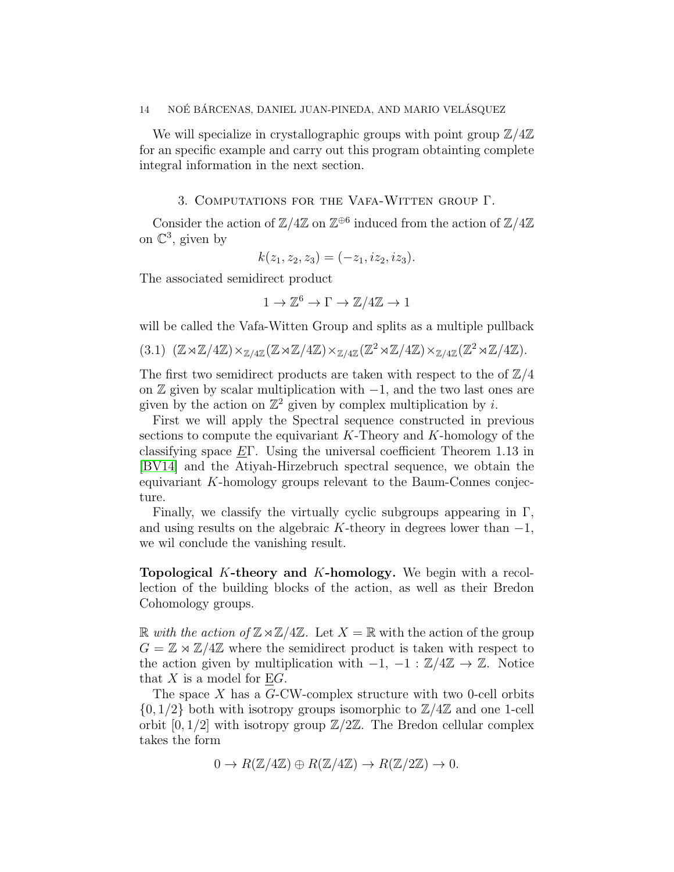We will specialize in crystallographic groups with point group  $\mathbb{Z}/4\mathbb{Z}$ for an specific example and carry out this program obtainting complete integral information in the next section.

### 3. Computations for the Vafa-Witten group Γ.

<span id="page-13-0"></span>Consider the action of  $\mathbb{Z}/4\mathbb{Z}$  on  $\mathbb{Z}^{\oplus 6}$  induced from the action of  $\mathbb{Z}/4\mathbb{Z}$ on  $\mathbb{C}^3$ , given by

$$
k(z_1, z_2, z_3) = (-z_1, iz_2, iz_3).
$$

The associated semidirect product

$$
1 \to \mathbb{Z}^6 \to \Gamma \to \mathbb{Z}/4\mathbb{Z} \to 1
$$

will be called the Vafa-Witten Group and splits as a multiple pullback

$$
(3.1) (\mathbb{Z} \rtimes \mathbb{Z}/4\mathbb{Z}) \times_{\mathbb{Z}/4\mathbb{Z}} (\mathbb{Z} \rtimes \mathbb{Z}/4\mathbb{Z}) \times_{\mathbb{Z}/4\mathbb{Z}} (\mathbb{Z}^2 \rtimes \mathbb{Z}/4\mathbb{Z}) \times_{\mathbb{Z}/4\mathbb{Z}} (\mathbb{Z}^2 \rtimes \mathbb{Z}/4\mathbb{Z}).
$$

The first two semidirect products are taken with respect to the of  $\mathbb{Z}/4$ on  $\mathbb Z$  given by scalar multiplication with  $-1$ , and the two last ones are given by the action on  $\mathbb{Z}^2$  given by complex multiplication by i.

First we will apply the Spectral sequence constructed in previous sections to compute the equivariant  $K$ -Theory and  $K$ -homology of the classifying space  $E\Gamma$ . Using the universal coefficient Theorem 1.13 in [\[BV14\]](#page-21-5) and the Atiyah-Hirzebruch spectral sequence, we obtain the equivariant K-homology groups relevant to the Baum-Connes conjecture.

Finally, we classify the virtually cyclic subgroups appearing in  $\Gamma$ , and using results on the algebraic K-theory in degrees lower than  $-1$ , we wil conclude the vanishing result.

<span id="page-13-1"></span>Topological K-theory and K-homology. We begin with a recollection of the building blocks of the action, as well as their Bredon Cohomology groups.

R with the action of  $\mathbb{Z}\rtimes\mathbb{Z}/4\mathbb{Z}$ . Let  $X=\mathbb{R}$  with the action of the group  $G = \mathbb{Z} \rtimes \mathbb{Z}/4\mathbb{Z}$  where the semidirect product is taken with respect to the action given by multiplication with  $-1$ ,  $-1 : \mathbb{Z}/4\mathbb{Z} \to \mathbb{Z}$ . Notice that  $X$  is a model for EG.

The space X has a  $G$ -CW-complex structure with two 0-cell orbits  $\{0, 1/2\}$  both with isotropy groups isomorphic to  $\mathbb{Z}/4\mathbb{Z}$  and one 1-cell orbit  $[0, 1/2]$  with isotropy group  $\mathbb{Z}/2\mathbb{Z}$ . The Bredon cellular complex takes the form

$$
0 \to R(\mathbb{Z}/4\mathbb{Z}) \oplus R(\mathbb{Z}/4\mathbb{Z}) \to R(\mathbb{Z}/2\mathbb{Z}) \to 0.
$$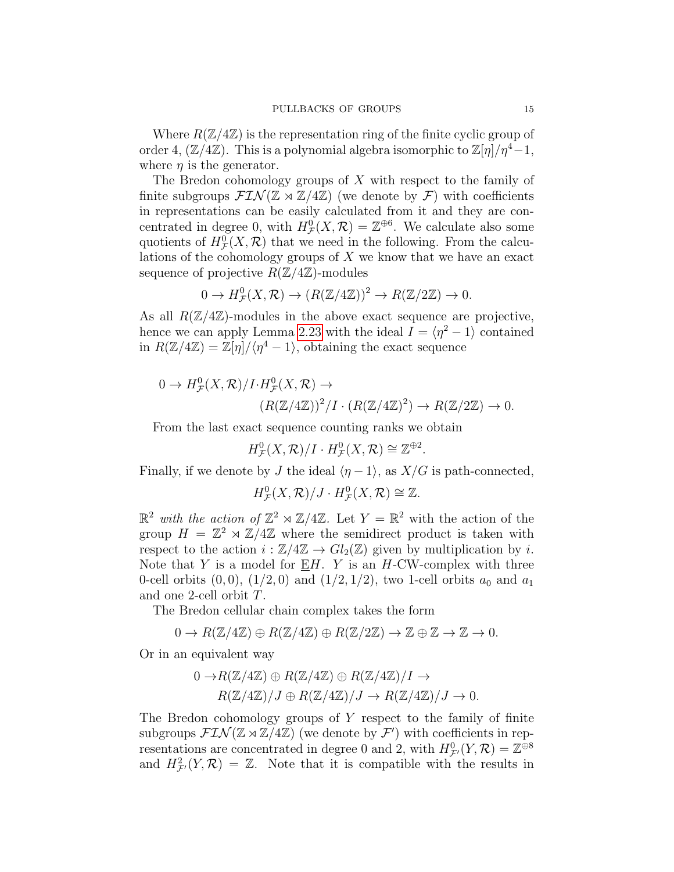Where  $R(\mathbb{Z}/4\mathbb{Z})$  is the representation ring of the finite cyclic group of order 4,  $(\mathbb{Z}/4\mathbb{Z})$ . This is a polynomial algebra isomorphic to  $\mathbb{Z}[\eta]/\eta^4-1$ , where  $\eta$  is the generator.

The Bredon cohomology groups of  $X$  with respect to the family of finite subgroups  $\mathcal{F}(\mathbb{Z}) \rtimes \mathbb{Z}/4\mathbb{Z}$  (we denote by  $\mathcal{F}$ ) with coefficients in representations can be easily calculated from it and they are concentrated in degree 0, with  $H^0_{\mathcal{F}}(X,\mathcal{R})=\mathbb{Z}^{\oplus 6}$ . We calculate also some quotients of  $H^0_{\mathcal{F}}(X,\mathcal{R})$  that we need in the following. From the calculations of the cohomology groups of X we know that we have an exact sequence of projective  $R(\mathbb{Z}/4\mathbb{Z})$ -modules

$$
0 \to H^0_{\mathcal{F}}(X,\mathcal{R}) \to (R(\mathbb{Z}/4\mathbb{Z}))^2 \to R(\mathbb{Z}/2\mathbb{Z}) \to 0.
$$

As all  $R(\mathbb{Z}/4\mathbb{Z})$ -modules in the above exact sequence are projective, hence we can apply Lemma [2.23](#page-11-1) with the ideal  $I = \langle \eta^2 - 1 \rangle$  contained in  $R(\mathbb{Z}/4\mathbb{Z}) = \mathbb{Z}[\eta]/\langle \eta^4 - 1 \rangle$ , obtaining the exact sequence

$$
0 \to H^0_{\mathcal{F}}(X,\mathcal{R})/I \cdot H^0_{\mathcal{F}}(X,\mathcal{R}) \to
$$
  

$$
(R(\mathbb{Z}/4\mathbb{Z}))^2/I \cdot (R(\mathbb{Z}/4\mathbb{Z})^2) \to R(\mathbb{Z}/2\mathbb{Z}) \to 0.
$$

From the last exact sequence counting ranks we obtain

 $H^0_{\mathcal{F}}(X,\mathcal{R})/I \cdot H^0_{\mathcal{F}}(X,\mathcal{R}) \cong \mathbb{Z}^{\oplus 2}.$ 

Finally, if we denote by J the ideal  $\langle \eta - 1 \rangle$ , as  $X/G$  is path-connected,

 $H^0_{\mathcal{F}}(X,\mathcal{R})/J \cdot H^0_{\mathcal{F}}(X,\mathcal{R}) \cong \mathbb{Z}.$ 

 $\mathbb{R}^2$  with the action of  $\mathbb{Z}^2 \rtimes \mathbb{Z}/4\mathbb{Z}$ . Let  $Y = \mathbb{R}^2$  with the action of the group  $H = \mathbb{Z}^2 \rtimes \mathbb{Z}/4\mathbb{Z}$  where the semidirect product is taken with respect to the action  $i : \mathbb{Z}/4\mathbb{Z} \to Gl_2(\mathbb{Z})$  given by multiplication by i. Note that Y is a model for  $E/H$ . Y is an H-CW-complex with three 0-cell orbits  $(0, 0)$ ,  $(1/2, 0)$  and  $(1/2, 1/2)$ , two 1-cell orbits  $a_0$  and  $a_1$ and one 2-cell orbit T.

The Bredon cellular chain complex takes the form

$$
0 \to R(\mathbb{Z}/4\mathbb{Z}) \oplus R(\mathbb{Z}/4\mathbb{Z}) \oplus R(\mathbb{Z}/2\mathbb{Z}) \to \mathbb{Z} \oplus \mathbb{Z} \to \mathbb{Z} \to 0.
$$

Or in an equivalent way

$$
0 \to R(\mathbb{Z}/4\mathbb{Z}) \oplus R(\mathbb{Z}/4\mathbb{Z}) \oplus R(\mathbb{Z}/4\mathbb{Z})/I \to
$$
  

$$
R(\mathbb{Z}/4\mathbb{Z})/J \oplus R(\mathbb{Z}/4\mathbb{Z})/J \to R(\mathbb{Z}/4\mathbb{Z})/J \to 0.
$$

The Bredon cohomology groups of Y respect to the family of finite subgroups  $\mathcal{FIN}(\mathbb{Z} \rtimes \mathbb{Z}/4\mathbb{Z})$  (we denote by  $\mathcal{F}'$ ) with coefficients in representations are concentrated in degree 0 and 2, with  $H^0_{\mathcal{F}}(Y,\mathcal{R})=\mathbb{Z}^{\widehat{\oplus} 8}$ and  $H^2_{\mathcal{F}}(Y,\mathcal{R}) = \mathbb{Z}$ . Note that it is compatible with the results in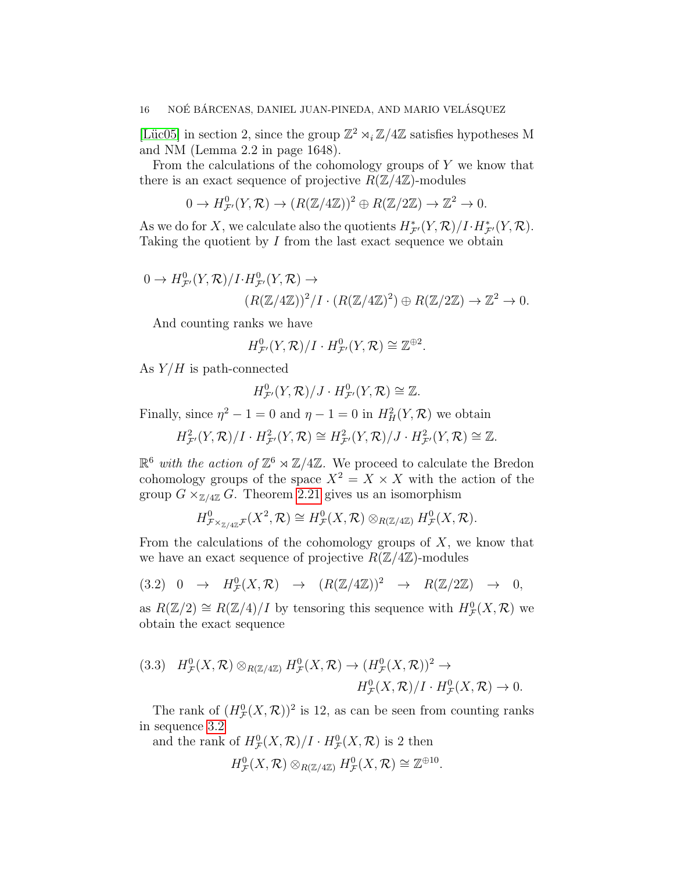[Lüc05] in section 2, since the group  $\mathbb{Z}^2 \rtimes_i \mathbb{Z}/4\mathbb{Z}$  satisfies hypotheses M and NM (Lemma 2.2 in page 1648).

From the calculations of the cohomology groups of  $Y$  we know that there is an exact sequence of projective  $R(\mathbb{Z}/4\mathbb{Z})$ -modules

$$
0 \to H^0_{\mathcal{F}'}(Y,\mathcal{R}) \to (R(\mathbb{Z}/4\mathbb{Z}))^2 \oplus R(\mathbb{Z}/2\mathbb{Z}) \to \mathbb{Z}^2 \to 0.
$$

As we do for X, we calculate also the quotients  $H^*_{\mathcal{F}}(Y,\mathcal{R})/I \cdot H^*_{\mathcal{F}'}(Y,\mathcal{R})$ . Taking the quotient by  $I$  from the last exact sequence we obtain

$$
0 \to H^0_{\mathcal{F}}(Y,\mathcal{R})/I \cdot H^0_{\mathcal{F}}(Y,\mathcal{R}) \to
$$
  

$$
(R(\mathbb{Z}/4\mathbb{Z}))^2/I \cdot (R(\mathbb{Z}/4\mathbb{Z})^2) \oplus R(\mathbb{Z}/2\mathbb{Z}) \to \mathbb{Z}^2 \to 0.
$$

And counting ranks we have

$$
H^0_{\mathcal{F}'}(Y,\mathcal{R})/I\cdot H^0_{\mathcal{F}'}(Y,\mathcal{R})\cong\mathbb{Z}^{\oplus 2}.
$$

As  $Y/H$  is path-connected

$$
H^0_{\mathcal{F}'}(Y,\mathcal{R})/J\cdot H^0_{\mathcal{F}'}(Y,\mathcal{R})\cong\mathbb{Z}.
$$

Finally, since  $\eta^2 - 1 = 0$  and  $\eta - 1 = 0$  in  $H^2_H(Y, \mathcal{R})$  we obtain

 $H^2_{\mathcal{F}'}(Y,\mathcal{R})/I \cdot H^2_{\mathcal{F}'}(Y,\mathcal{R}) \cong H^2_{\mathcal{F}'}(Y,\mathcal{R})/J \cdot H^2_{\mathcal{F}'}(Y,\mathcal{R}) \cong \mathbb{Z}.$ 

 $\mathbb{R}^6$  with the action of  $\mathbb{Z}^6 \rtimes \mathbb{Z}/4\mathbb{Z}$ . We proceed to calculate the Bredon cohomology groups of the space  $X^2 = X \times X$  with the action of the group  $G \times_{\mathbb{Z}/4\mathbb{Z}} G$ . Theorem [2.21](#page-11-0) gives us an isomorphism

$$
H^0_{\mathcal{F} \times_{\mathbb{Z}/4\mathbb{Z}} \mathcal{F}}(X^2, \mathcal{R}) \cong H^0_{\mathcal{F}}(X, \mathcal{R}) \otimes_{R(\mathbb{Z}/4\mathbb{Z})} H^0_{\mathcal{F}}(X, \mathcal{R}).
$$

From the calculations of the cohomology groups of  $X$ , we know that we have an exact sequence of projective  $R(\mathbb{Z}/4\mathbb{Z})$ -modules

<span id="page-15-0"></span>
$$
(3.2) \quad 0 \quad \rightarrow \quad H^0_{\mathcal{F}}(X,\mathcal{R}) \quad \rightarrow \quad (R(\mathbb{Z}/4\mathbb{Z}))^2 \quad \rightarrow \quad R(\mathbb{Z}/2\mathbb{Z}) \quad \rightarrow \quad 0,
$$

as  $R(\mathbb{Z}/2) \cong R(\mathbb{Z}/4)/I$  by tensoring this sequence with  $H^0_{\mathcal{F}}(X,\mathcal{R})$  we obtain the exact sequence

<span id="page-15-1"></span>
$$
(3.3) \quad H^0_{\mathcal{F}}(X,\mathcal{R}) \otimes_{R(\mathbb{Z}/4\mathbb{Z})} H^0_{\mathcal{F}}(X,\mathcal{R}) \to (H^0_{\mathcal{F}}(X,\mathcal{R}))^2 \to
$$

$$
H^0_{\mathcal{F}}(X,\mathcal{R})/I \cdot H^0_{\mathcal{F}}(X,\mathcal{R}) \to 0.
$$

The rank of  $(H^0_{\mathcal{F}}(X,\mathcal{R}))^2$  is 12, as can be seen from counting ranks in sequence [3.2](#page-15-0)

and the rank of  $H^0_{\mathcal{F}}(X,\mathcal{R})/I \cdot H^0_{\mathcal{F}}(X,\mathcal{R})$  is 2 then

$$
H^0_{\mathcal{F}}(X,\mathcal{R})\otimes_{R(\mathbb{Z}/4\mathbb{Z})}H^0_{\mathcal{F}}(X,\mathcal{R})\cong \mathbb{Z}^{\oplus 10}.
$$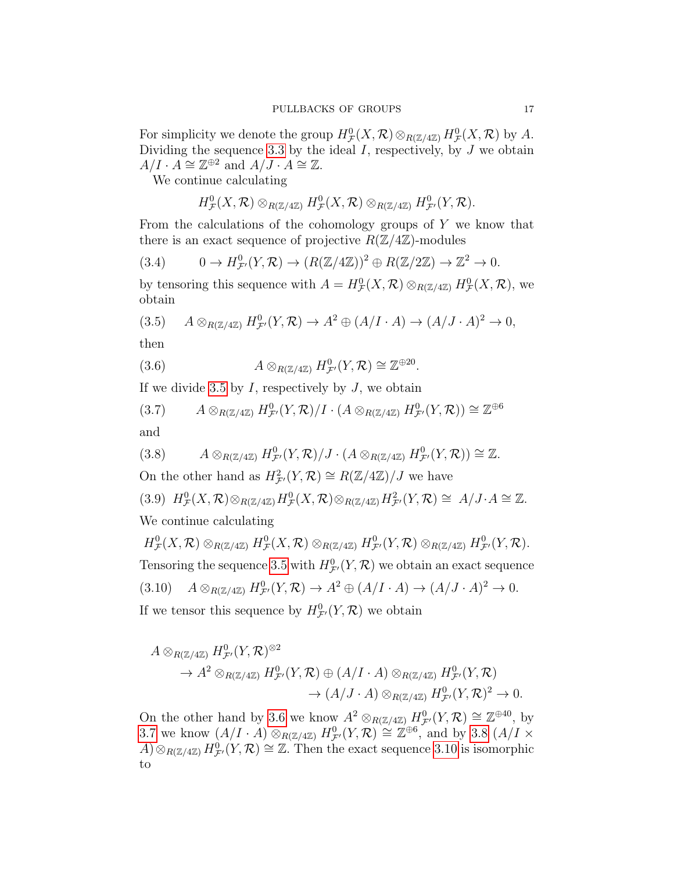For simplicity we denote the group  $H^0_{\mathcal{F}}(X,\mathcal{R})\otimes_{R(\mathbb{Z}/4\mathbb{Z})}H^0_{\mathcal{F}}(X,\mathcal{R})$  by A. Dividing the sequence [3.3](#page-15-1) by the ideal  $I$ , respectively, by  $J$  we obtain  $A/I \cdot A \cong \mathbb{Z}^{\oplus 2}$  and  $A/J \cdot A \cong \mathbb{Z}$ .

We continue calculating

$$
H^0_{\mathcal{F}}(X,\mathcal{R})\otimes_{R(\mathbb{Z}/4\mathbb{Z})}H^0_{\mathcal{F}}(X,\mathcal{R})\otimes_{R(\mathbb{Z}/4\mathbb{Z})}H^0_{\mathcal{F}'}(Y,\mathcal{R}).
$$

From the calculations of the cohomology groups of  $Y$  we know that there is an exact sequence of projective  $R(\mathbb{Z}/4\mathbb{Z})$ -modules

$$
(3.4) \t 0 \to H^0_{\mathcal{F}}(Y,\mathcal{R}) \to (R(\mathbb{Z}/4\mathbb{Z}))^2 \oplus R(\mathbb{Z}/2\mathbb{Z}) \to \mathbb{Z}^2 \to 0.
$$

by tensoring this sequence with  $A = H^0_{\mathcal{F}}(X,\mathcal{R}) \otimes_{R(\mathbb{Z}/4\mathbb{Z})} H^0_{\mathcal{F}}(X,\mathcal{R})$ , we obtain

<span id="page-16-0"></span>(3.5) 
$$
A \otimes_{R(\mathbb{Z}/4\mathbb{Z})} H_{\mathcal{F}'}^0(Y, \mathcal{R}) \to A^2 \oplus (A/I \cdot A) \to (A/J \cdot A)^2 \to 0,
$$

then

<span id="page-16-1"></span>(3.6) 
$$
A \otimes_{R(\mathbb{Z}/4\mathbb{Z})} H^0_{\mathcal{F}'}(Y,\mathcal{R}) \cong \mathbb{Z}^{\oplus 20}.
$$

If we divide [3.5](#page-16-0) by  $I$ , respectively by  $J$ , we obtain

<span id="page-16-2"></span>(3.7) 
$$
A \otimes_{R(\mathbb{Z}/4\mathbb{Z})} H^0_{\mathcal{F}'}(Y,\mathcal{R})/I \cdot (A \otimes_{R(\mathbb{Z}/4\mathbb{Z})} H^0_{\mathcal{F}'}(Y,\mathcal{R})) \cong \mathbb{Z}^{\oplus 6}
$$
 and

<span id="page-16-3"></span>
$$
(3.8) \qquad A\otimes_{R(\mathbb{Z}/4\mathbb{Z})} H^0_{\mathcal{F}'}(Y,\mathcal{R})/J \cdot (A\otimes_{R(\mathbb{Z}/4\mathbb{Z})} H^0_{\mathcal{F}'}(Y,\mathcal{R})) \cong \mathbb{Z}.
$$

On the other hand as  $H^2_{\mathcal{F}'}(Y,\mathcal{R}) \cong R(\mathbb{Z}/4\mathbb{Z})/J$  we have

<span id="page-16-5"></span>(3.9) 
$$
H^0_{\mathcal{F}}(X,\mathcal{R}) \otimes_{R(\mathbb{Z}/4\mathbb{Z})} H^0_{\mathcal{F}}(X,\mathcal{R}) \otimes_{R(\mathbb{Z}/4\mathbb{Z})} H^2_{\mathcal{F}'}(Y,\mathcal{R}) \cong A/J \cdot A \cong \mathbb{Z}
$$
.  
We continue calculating

<span id="page-16-4"></span>
$$
H^0_{\mathcal{F}}(X,\mathcal{R}) \otimes_{R(\mathbb{Z}/4\mathbb{Z})} H^0_{\mathcal{F}}(X,\mathcal{R}) \otimes_{R(\mathbb{Z}/4\mathbb{Z})} H^0_{\mathcal{F}'}(Y,\mathcal{R}) \otimes_{R(\mathbb{Z}/4\mathbb{Z})} H^0_{\mathcal{F}'}(Y,\mathcal{R}).
$$
  
Tensoring the sequence 3.5 with  $H^0_{\mathcal{F}'}(Y,\mathcal{R})$  we obtain an exact sequence  
(3.10)  $A \otimes_{R(\mathbb{Z}/4\mathbb{Z})} H^0_{\mathcal{F}'}(Y,\mathcal{R}) \to A^2 \oplus (A/I \cdot A) \to (A/J \cdot A)^2 \to 0.$   
If we tensor this sequence by  $H^0_{\mathcal{F}'}(Y,\mathcal{R})$  we obtain

$$
A \otimes_{R(\mathbb{Z}/4\mathbb{Z})} H_{\mathcal{F}'}^0(Y, \mathcal{R})^{\otimes 2} \to A^2 \otimes_{R(\mathbb{Z}/4\mathbb{Z})} H_{\mathcal{F}'}^0(Y, \mathcal{R}) \oplus (A/I \cdot A) \otimes_{R(\mathbb{Z}/4\mathbb{Z})} H_{\mathcal{F}'}^0(Y, \mathcal{R}) \to (A/J \cdot A) \otimes_{R(\mathbb{Z}/4\mathbb{Z})} H_{\mathcal{F}'}^0(Y, \mathcal{R})^2 \to 0.
$$

On the other hand by [3.6](#page-16-1) we know  $A^2 \otimes_{R(\mathbb{Z}/4\mathbb{Z})} H^0_{\mathcal{F}}(Y, \mathcal{R}) \cong \mathbb{Z}^{\oplus 40}$ , by [3.7](#page-16-2) we know  $(A/I \cdot A) \otimes_{R(\mathbb{Z}/4\mathbb{Z})} H^0_{\mathcal{F}}(Y,\mathcal{R}) \cong \mathbb{Z}^{\oplus 6}$ , and by [3.8](#page-16-3)  $(A/I \times$  $(A) \otimes_{R(\mathbb{Z}/4\mathbb{Z})} H_{\mathcal{F}}^0(Y,\mathcal{R}) \cong \mathbb{Z}$ . Then the exact sequence [3.10](#page-16-4) is isomorphic to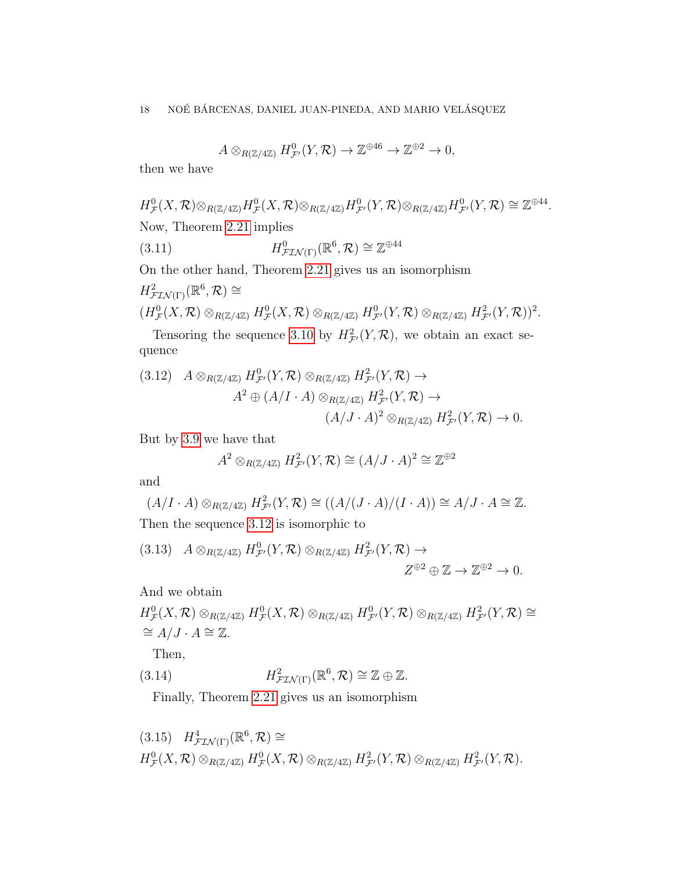<span id="page-17-1"></span>
$$
A \otimes_{R(\mathbb{Z}/4\mathbb{Z})} H^0_{\mathcal{F}'}(Y,\mathcal{R}) \to \mathbb{Z}^{\oplus 46} \to \mathbb{Z}^{\oplus 2} \to 0,
$$

then we have

$$
H^0_{\mathcal{F}}(X,\mathcal{R})\otimes_{R(\mathbb{Z}/4\mathbb{Z})}H^0_{\mathcal{F}}(X,\mathcal{R})\otimes_{R(\mathbb{Z}/4\mathbb{Z})}H^0_{\mathcal{F}'}(Y,\mathcal{R})\otimes_{R(\mathbb{Z}/4\mathbb{Z})}H^0_{\mathcal{F}'}(Y,\mathcal{R})\cong \mathbb{Z}^{\oplus 44}.
$$
  
Now, Theorem 2.21 implies

(3.11) 
$$
H^0_{\mathcal{F} \mathcal{I} \mathcal{N}(\Gamma)}(\mathbb{R}^6, \mathcal{R}) \cong \mathbb{Z}^{\oplus 44}
$$

On the other hand, Theorem [2.21](#page-11-0) gives us an isomorphism

$$
H^2_{\mathcal{F} \mathcal{I} \mathcal{N}(\Gamma)}(\mathbb{R}^6, \mathcal{R}) \cong
$$
  

$$
(H^0_{\mathcal{F}}(X, \mathcal{R}) \otimes_{R(\mathbb{Z}/4\mathbb{Z})} H^0_{\mathcal{F}}(X, \mathcal{R}) \otimes_{R(\mathbb{Z}/4\mathbb{Z})} H^0_{\mathcal{F}'}(Y, \mathcal{R}) \otimes_{R(\mathbb{Z}/4\mathbb{Z})} H^2_{\mathcal{F}'}(Y, \mathcal{R}))^2.
$$

Tensoring the sequence [3.10](#page-16-4) by  $H^2_{\mathcal{F}}(Y,\mathcal{R})$ , we obtain an exact sequence

<span id="page-17-0"></span>
$$
(3.12) \quad A \otimes_{R(\mathbb{Z}/4\mathbb{Z})} H_{\mathcal{F}'}^0(Y, \mathcal{R}) \otimes_{R(\mathbb{Z}/4\mathbb{Z})} H_{\mathcal{F}'}^2(Y, \mathcal{R}) \to
$$

$$
A^2 \oplus (A/I \cdot A) \otimes_{R(\mathbb{Z}/4\mathbb{Z})} H_{\mathcal{F}'}^2(Y, \mathcal{R}) \to
$$

$$
(A/J \cdot A)^2 \otimes_{R(\mathbb{Z}/4\mathbb{Z})} H_{\mathcal{F}'}^2(Y, \mathcal{R}) \to 0.
$$

But by [3.9](#page-16-5) we have that

$$
A^2 \otimes_{R(\mathbb{Z}/4\mathbb{Z})} H^2_{\mathcal{F}'}(Y,\mathcal{R}) \cong (A/J \cdot A)^2 \cong \mathbb{Z}^{\oplus 2}
$$

and

$$
(A/I \cdot A) \otimes_{R(\mathbb{Z}/4\mathbb{Z})} H^2_{\mathcal{F}'}(Y, \mathcal{R}) \cong ((A/(J \cdot A)/(I \cdot A)) \cong A/J \cdot A \cong \mathbb{Z}.
$$
  
Then the sequence 3.12 is isomorphic to

$$
(3.13) \quad A \otimes_{R(\mathbb{Z}/4\mathbb{Z})} H_{\mathcal{F}'}^0(Y,\mathcal{R}) \otimes_{R(\mathbb{Z}/4\mathbb{Z})} H_{\mathcal{F}'}^2(Y,\mathcal{R}) \to
$$

$$
Z^{\oplus 2} \oplus \mathbb{Z} \to \mathbb{Z}^{\oplus 2} \to 0.
$$

And we obtain

$$
H^0_{\mathcal{F}}(X,\mathcal{R}) \otimes_{R(\mathbb{Z}/4\mathbb{Z})} H^0_{\mathcal{F}}(X,\mathcal{R}) \otimes_{R(\mathbb{Z}/4\mathbb{Z})} H^0_{\mathcal{F}'}(Y,\mathcal{R}) \otimes_{R(\mathbb{Z}/4\mathbb{Z})} H^2_{\mathcal{F}'}(Y,\mathcal{R}) \cong
$$
  
\n $\cong A/J \cdot A \cong \mathbb{Z}.$   
\nThen,  
\n $\text{Then,}$ 

(3.14) 
$$
H^2_{\mathcal{F} \mathcal{I} \mathcal{N}(\Gamma)}(\mathbb{R}^6, \mathcal{R}) \cong \mathbb{Z} \oplus \mathbb{Z}.
$$

<span id="page-17-2"></span>Finally, Theorem [2.21](#page-11-0) gives us an isomorphism

<span id="page-17-3"></span>
$$
(3.15) \quad H^4_{\mathcal{F} \mathcal{I} \mathcal{N}(\Gamma)}(\mathbb{R}^6, \mathcal{R}) \cong
$$
  

$$
H^0_{\mathcal{F}}(X, \mathcal{R}) \otimes_{R(\mathbb{Z}/4\mathbb{Z})} H^0_{\mathcal{F}}(X, \mathcal{R}) \otimes_{R(\mathbb{Z}/4\mathbb{Z})} H^2_{\mathcal{F}'}(Y, \mathcal{R}) \otimes_{R(\mathbb{Z}/4\mathbb{Z})} H^2_{\mathcal{F}'}(Y, \mathcal{R}).
$$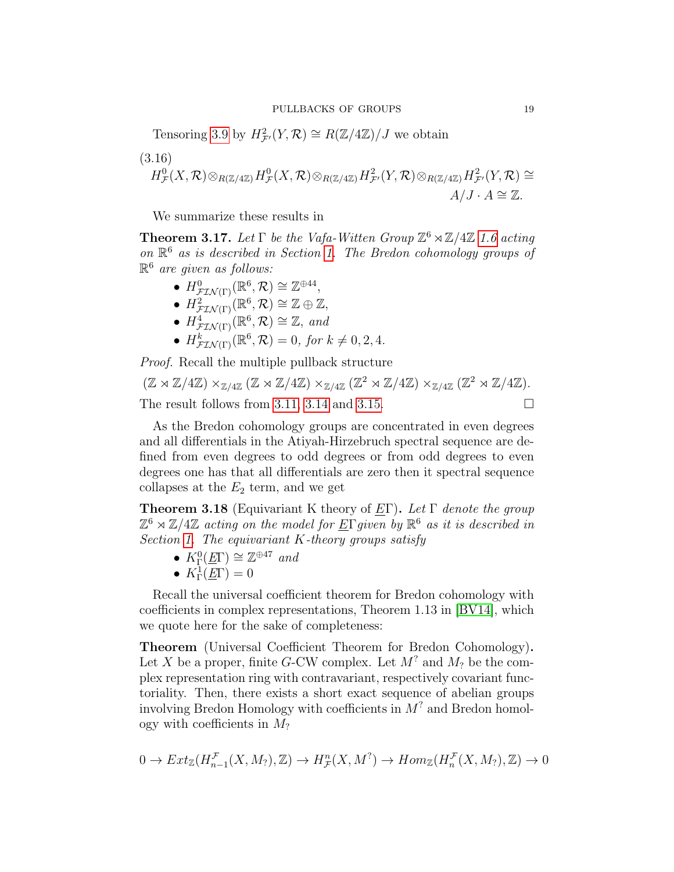Tensoring [3.9](#page-16-5) by  $H^2_{\mathcal{F}}(Y,\mathcal{R}) \cong R(\mathbb{Z}/4\mathbb{Z})/J$  we obtain

$$
(3.16)
$$
  

$$
H^0_{\mathcal{F}}(X,\mathcal{R})\otimes_{R(\mathbb{Z}/4\mathbb{Z})}H^0_{\mathcal{F}}(X,\mathcal{R})\otimes_{R(\mathbb{Z}/4\mathbb{Z})}H^2_{\mathcal{F}'}(Y,\mathcal{R})\otimes_{R(\mathbb{Z}/4\mathbb{Z})}H^2_{\mathcal{F}'}(Y,\mathcal{R})\cong
$$
  

$$
A/J\cdot A\cong \mathbb{Z}.
$$

We summarize these results in

<span id="page-18-1"></span>**Theorem 3.17.** Let  $\Gamma$  be the Vafa-Witten Group  $\mathbb{Z}^6 \rtimes \mathbb{Z}/4\mathbb{Z}$  [1.6](#page-2-1) acting on R <sup>6</sup> as is described in Section [1.](#page-0-1) The Bredon cohomology groups of  $\mathbb{R}^6$  are given as follows:

- $H^0_{\mathcal{F} \mathcal{I} \mathcal{N}(\Gamma)}(\mathbb{R}^6, \mathcal{R}) \cong \mathbb{Z}^{\oplus 44},$
- $H^2_{\mathcal{F} \mathcal{I} \mathcal{N}(\Gamma)}(\mathbb{R}^6, \mathcal{R}) \cong \mathbb{Z} \oplus \mathbb{Z},$
- $H^4_{\mathcal{FIN}(\Gamma)}(\mathbb{R}^6, \mathcal{R}) \cong \mathbb{Z}$ , and
- $H^k_{\mathcal{F} \mathcal{I} \mathcal{N}(\Gamma)}(\mathbb{R}^6, \mathcal{R}) = 0$ , for  $k \neq 0, 2, 4$ .

Proof. Recall the multiple pullback structure

 $(\mathbb{Z} \rtimes \mathbb{Z}/4\mathbb{Z}) \times_{\mathbb{Z}/4\mathbb{Z}} (\mathbb{Z} \rtimes \mathbb{Z}/4\mathbb{Z}) \times_{\mathbb{Z}/4\mathbb{Z}} (\mathbb{Z}^2 \rtimes \mathbb{Z}/4\mathbb{Z}) \times_{\mathbb{Z}/4\mathbb{Z}} (\mathbb{Z}^2 \rtimes \mathbb{Z}/4\mathbb{Z}).$ The result follows from [3.11,](#page-17-1) [3.14](#page-17-2) and [3.15.](#page-17-3)

As the Bredon cohomology groups are concentrated in even degrees and all differentials in the Atiyah-Hirzebruch spectral sequence are defined from even degrees to odd degrees or from odd degrees to even degrees one has that all differentials are zero then it spectral sequence collapses at the  $E_2$  term, and we get

<span id="page-18-0"></span>**Theorem 3.18** (Equivariant K theory of EΓ). Let Γ denote the group  $\mathbb{Z}^6 \rtimes \mathbb{Z}/4\mathbb{Z}$  acting on the model for  $\underline{E} \Gamma$ given by  $\mathbb{R}^6$  as it is described in Section [1.](#page-0-1) The equivariant  $K$ -theory groups satisfy

- $K_{\Gamma}^0(\underline{E}\Gamma) \cong \mathbb{Z}^{\oplus 47}$  and
- $K^1_{\Gamma}(\underline{E}\Gamma) = 0$

Recall the universal coefficient theorem for Bredon cohomology with coefficients in complex representations, Theorem 1.13 in [\[BV14\]](#page-21-5), which we quote here for the sake of completeness:

Theorem (Universal Coefficient Theorem for Bredon Cohomology). Let X be a proper, finite G-CW complex. Let  $M^?$  and  $M_?$  be the complex representation ring with contravariant, respectively covariant functoriality. Then, there exists a short exact sequence of abelian groups involving Bredon Homology with coefficients in  $M^?$  and Bredon homology with coefficients in  $M_2$ 

$$
0 \to Ext_{\mathbb{Z}}(H_{n-1}^{\mathcal{F}}(X,M_?,\mathbb{Z}) \to H_{\mathcal{F}}^n(X,M^?) \to Hom_{\mathbb{Z}}(H_n^{\mathcal{F}}(X,M_?,\mathbb{Z}) \to 0
$$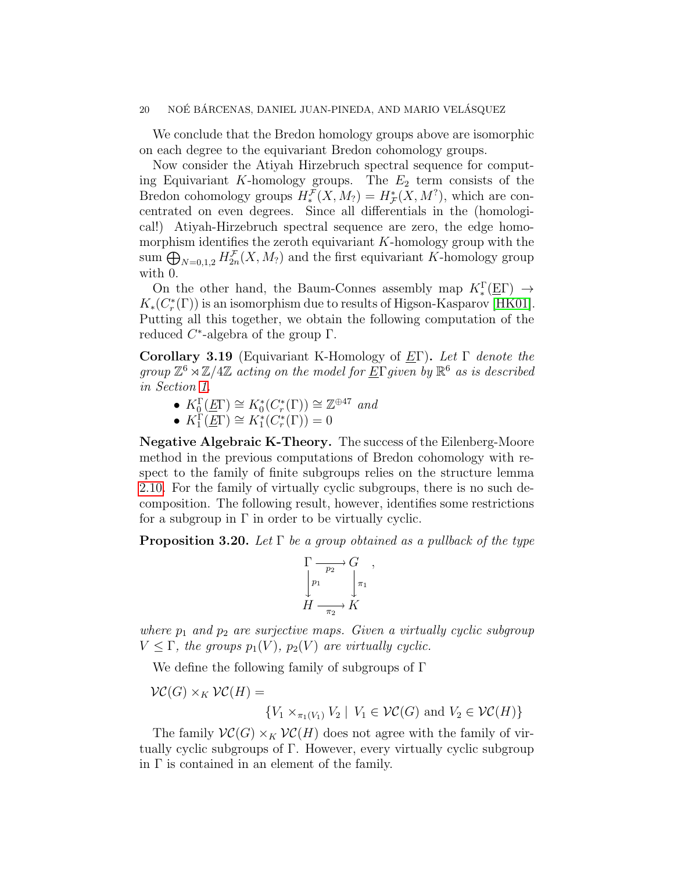We conclude that the Bredon homology groups above are isomorphic on each degree to the equivariant Bredon cohomology groups.

Now consider the Atiyah Hirzebruch spectral sequence for computing Equivariant K-homology groups. The  $E_2$  term consists of the Bredon cohomology groups  $H_*^{\mathcal{F}}(X, M_?) = H_{\mathcal{F}}^*(X, M^?)$ , which are concentrated on even degrees. Since all differentials in the (homological!) Atiyah-Hirzebruch spectral sequence are zero, the edge homomorphism identifies the zeroth equivariant  $K$ -homology group with the sum  $\bigoplus_{N=0,1,2} H_{2n}^{\mathcal{F}}(X,M_?)$  and the first equivariant K-homology group with 0.

On the other hand, the Baum-Connes assembly map  $K_*^{\Gamma}(\underline{E}\Gamma) \rightarrow$  $K_*(C^*_r(\Gamma))$  is an isomorphism due to results of Higson-Kasparov [\[HK01\]](#page-21-13). Putting all this together, we obtain the following computation of the reduced  $C^*$ -algebra of the group  $\Gamma$ .

Corollary 3.19 (Equivariant K-Homology of  $E\Gamma$ ). Let  $\Gamma$  denote the group  $\mathbb{Z}^6 \rtimes \mathbb{Z}/4\mathbb{Z}$  acting on the model for  $\underline{E} \Gamma$  given by  $\mathbb{R}^6$  as is described in Section [1.](#page-0-1)

- $K_0^{\Gamma}(\underline{E}\Gamma) \cong K_0^*(C_r^*(\Gamma)) \cong \mathbb{Z}^{\oplus 47}$  and
- $K_1(\overline{E\Gamma}) \cong K_1^*(C_r^*(\Gamma)) = 0$

<span id="page-19-0"></span>Negative Algebraic K-Theory. The success of the Eilenberg-Moore method in the previous computations of Bredon cohomology with respect to the family of finite subgroups relies on the structure lemma [2.10.](#page-7-1) For the family of virtually cyclic subgroups, there is no such decomposition. The following result, however, identifies some restrictions for a subgroup in  $\Gamma$  in order to be virtually cyclic.

**Proposition 3.20.** Let  $\Gamma$  be a group obtained as a pullback of the type

$$
\Gamma \longrightarrow G \longrightarrow G
$$
  
\n
$$
\downarrow p_1 \qquad \qquad \downarrow \pi_1
$$
  
\n
$$
H \longrightarrow K
$$

where  $p_1$  and  $p_2$  are surjective maps. Given a virtually cyclic subgroup  $V \leq \Gamma$ , the groups  $p_1(V)$ ,  $p_2(V)$  are virtually cyclic.

We define the following family of subgroups of Γ

$$
\mathcal{VC}(G) \times_K \mathcal{VC}(H) =
$$

$$
\{V_1 \times_{\pi_1(V_1)} V_2 \mid V_1 \in \mathcal{VC}(G) \text{ and } V_2 \in \mathcal{VC}(H)\}\
$$

The family  $\mathcal{VC}(G) \times_K \mathcal{VC}(H)$  does not agree with the family of virtually cyclic subgroups of Γ. However, every virtually cyclic subgroup in  $\Gamma$  is contained in an element of the family.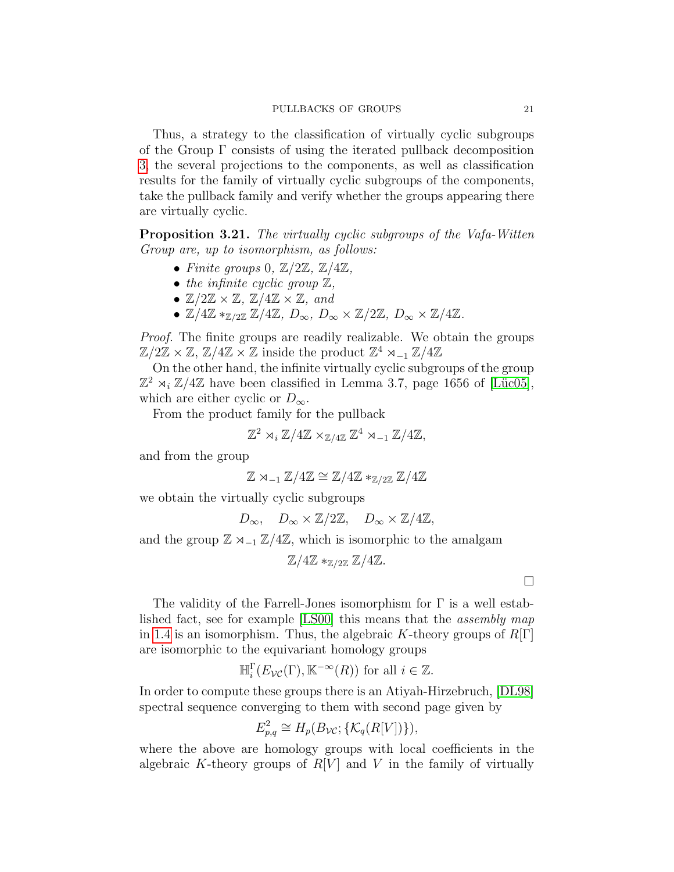Thus, a strategy to the classification of virtually cyclic subgroups of the Group Γ consists of using the iterated pullback decomposition [3,](#page-18-1) the several projections to the components, as well as classification results for the family of virtually cyclic subgroups of the components, take the pullback family and verify whether the groups appearing there are virtually cyclic.

Proposition 3.21. The virtually cyclic subgroups of the Vafa-Witten Group are, up to isomorphism, as follows:

- Finite groups 0,  $\mathbb{Z}/2\mathbb{Z}$ ,  $\mathbb{Z}/4\mathbb{Z}$ ,
- the infinite cyclic group  $\mathbb{Z}$ ,
- $\mathbb{Z}/2\mathbb{Z} \times \mathbb{Z}$ ,  $\mathbb{Z}/4\mathbb{Z} \times \mathbb{Z}$ , and
- $\mathbb{Z}/4\mathbb{Z} *_{\mathbb{Z}/2\mathbb{Z}} \mathbb{Z}/4\mathbb{Z}, D_{\infty}, D_{\infty} \times \mathbb{Z}/2\mathbb{Z}, D_{\infty} \times \mathbb{Z}/4\mathbb{Z}.$

Proof. The finite groups are readily realizable. We obtain the groups  $\mathbb{Z}/2\mathbb{Z} \times \mathbb{Z}$ ,  $\mathbb{Z}/4\mathbb{Z} \times \mathbb{Z}$  inside the product  $\mathbb{Z}^4 \rtimes_{-1} \mathbb{Z}/4\mathbb{Z}$ 

On the other hand, the infinite virtually cyclic subgroups of the group  $\mathbb{Z}^2$   $\rtimes_i \mathbb{Z}/4\mathbb{Z}$  have been classified in Lemma 3.7, page 1656 of [Lüc05], which are either cyclic or  $D_{\infty}$ .

From the product family for the pullback

$$
\mathbb{Z}^2 \rtimes_i \mathbb{Z}/4\mathbb{Z} \times_{\mathbb{Z}/4\mathbb{Z}} \mathbb{Z}^4 \rtimes_{-1} \mathbb{Z}/4\mathbb{Z},
$$

and from the group

$$
\mathbb{Z} \rtimes_{-1} \mathbb{Z}/4\mathbb{Z} \cong \mathbb{Z}/4\mathbb{Z} *_{\mathbb{Z}/2\mathbb{Z}} \mathbb{Z}/4\mathbb{Z}
$$

we obtain the virtually cyclic subgroups

 $D_{\infty}$ ,  $D_{\infty} \times \mathbb{Z}/2\mathbb{Z}$ ,  $D_{\infty} \times \mathbb{Z}/4\mathbb{Z}$ ,

and the group  $\mathbb{Z} \rtimes_{-1} \mathbb{Z}/4\mathbb{Z}$ , which is isomorphic to the amalgam

 $\mathbb{Z}/4\mathbb{Z} *_{\mathbb{Z}/2\mathbb{Z}} \mathbb{Z}/4\mathbb{Z}.$ 

 $\Box$ 

The validity of the Farrell-Jones isomorphism for Γ is a well established fact, see for example [\[LS00\]](#page-22-0) this means that the assembly map in [1.4](#page-2-2) is an isomorphism. Thus, the algebraic K-theory groups of  $R[\Gamma]$ are isomorphic to the equivariant homology groups

$$
\mathbb{H}_i^{\Gamma}(E_{\mathcal{VC}}(\Gamma), \mathbb{K}^{-\infty}(R)) \text{ for all } i \in \mathbb{Z}.
$$

In order to compute these groups there is an Atiyah-Hirzebruch, [\[DL98\]](#page-21-2) spectral sequence converging to them with second page given by

$$
E_{p,q}^2 \cong H_p(B_{\mathcal{VC}}; \{\mathcal{K}_q(R[V])\}),
$$

where the above are homology groups with local coefficients in the algebraic K-theory groups of  $R[V]$  and V in the family of virtually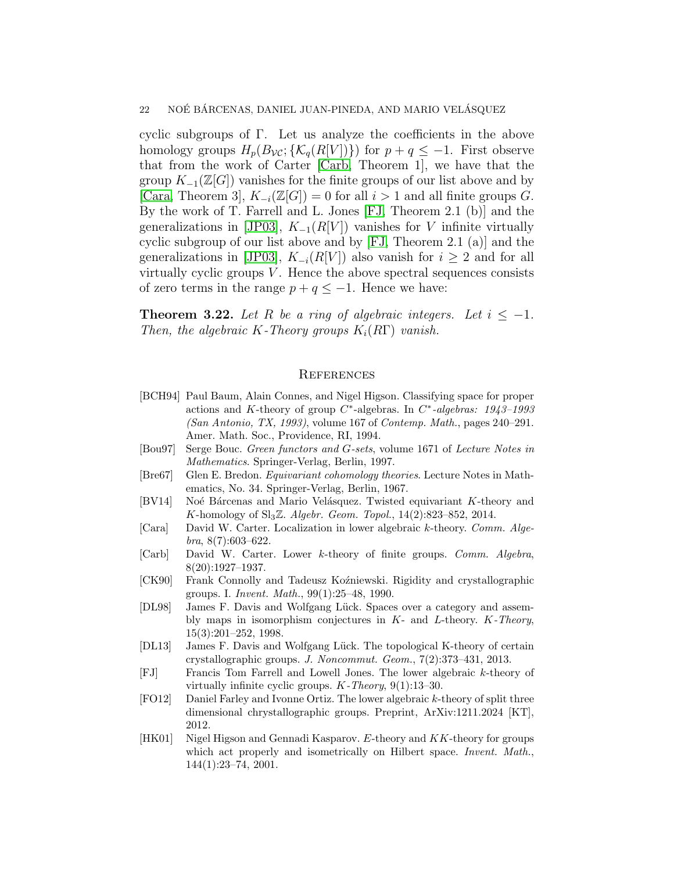cyclic subgroups of Γ. Let us analyze the coefficients in the above homology groups  $H_p(B_{\mathcal{VC}};\{\mathcal{K}_q(R[V])\})$  for  $p+q \leq -1$ . First observe that from the work of Carter [\[Carb,](#page-21-8) Theorem 1], we have that the group  $K_{-1}(\mathbb{Z}[G])$  vanishes for the finite groups of our list above and by [\[Cara,](#page-21-7) Theorem 3],  $K_{-i}(\mathbb{Z}[G]) = 0$  for all  $i > 1$  and all finite groups G. By the work of T. Farrell and L. Jones [\[FJ,](#page-21-6) Theorem 2.1 (b)] and the generalizations in [\[JP03\]](#page-22-5),  $K_{-1}(R[V])$  vanishes for V infinite virtually cyclic subgroup of our list above and by [\[FJ,](#page-21-6) Theorem 2.1 (a)] and the generalizations in [\[JP03\]](#page-22-5),  $K_{-i}(R[V])$  also vanish for  $i \geq 2$  and for all virtually cyclic groups  $V$ . Hence the above spectral sequences consists of zero terms in the range  $p + q \leq -1$ . Hence we have:

<span id="page-21-9"></span>**Theorem 3.22.** Let R be a ring of algebraic integers. Let  $i \leq -1$ . Then, the algebraic K-Theory groups  $K_i(R\Gamma)$  vanish.

# <span id="page-21-10"></span>**REFERENCES**

- <span id="page-21-1"></span>[BCH94] Paul Baum, Alain Connes, and Nigel Higson. Classifying space for proper actions and K-theory of group  $C^*$ -algebras. In  $C^*$ -algebras: 1943–1993 (San Antonio, TX, 1993), volume 167 of Contemp. Math., pages 240–291. Amer. Math. Soc., Providence, RI, 1994.
- <span id="page-21-11"></span>[Bou97] Serge Bouc. Green functors and G-sets, volume 1671 of Lecture Notes in Mathematics. Springer-Verlag, Berlin, 1997.
- <span id="page-21-12"></span>[Bre67] Glen E. Bredon. Equivariant cohomology theories. Lecture Notes in Mathematics, No. 34. Springer-Verlag, Berlin, 1967.
- <span id="page-21-5"></span>[BV14] Noé Bárcenas and Mario Velásquez. Twisted equivariant K-theory and K-homology of  $Sl_3\mathbb{Z}$ . Algebr. Geom. Topol., 14(2):823-852, 2014.
- <span id="page-21-7"></span>[Cara] David W. Carter. Localization in lower algebraic k-theory. Comm. Algebra, 8(7):603–622.
- <span id="page-21-8"></span>[Carb] David W. Carter. Lower k-theory of finite groups. Comm. Algebra, 8(20):1927–1937.
- <span id="page-21-0"></span>[CK90] Frank Connolly and Tadeusz Koźniewski. Rigidity and crystallographic groups. I. Invent. Math., 99(1):25–48, 1990.
- <span id="page-21-2"></span>[DL98] James F. Davis and Wolfgang Lück. Spaces over a category and assembly maps in isomorphism conjectures in  $K-$  and  $L-$ theory.  $K-Theory$ , 15(3):201–252, 1998.
- <span id="page-21-3"></span>[DL13] James F. Davis and Wolfgang Lück. The topological K-theory of certain crystallographic groups. J. Noncommut. Geom., 7(2):373–431, 2013.
- <span id="page-21-6"></span>[FJ] Francis Tom Farrell and Lowell Jones. The lower algebraic k-theory of virtually infinite cyclic groups.  $K$ -Theory, 9(1):13–30.
- <span id="page-21-4"></span>[FO12] Daniel Farley and Ivonne Ortiz. The lower algebraic k-theory of split three dimensional chrystallographic groups. Preprint, ArXiv:1211.2024 [KT], 2012.
- <span id="page-21-13"></span>[HK01] Nigel Higson and Gennadi Kasparov. E-theory and KK-theory for groups which act properly and isometrically on Hilbert space. *Invent.* Math., 144(1):23–74, 2001.